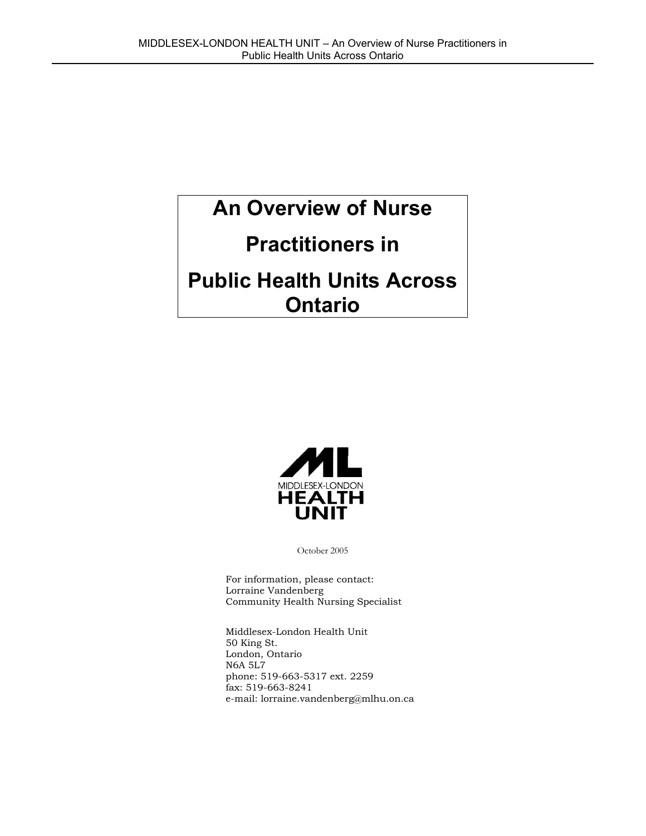# **An Overview of Nurse**

# **Practitioners in**

# **Public Health Units Across Ontario**



October 2005

For information, please contact: Lorraine Vandenberg Community Health Nursing Specialist

Middlesex-London Health Unit 50 King St. London, Ontario N6A 5L7 phone: 519-663-5317 ext. 2259 fax: 519-663-8241 e-mail: lorraine.vandenberg@mlhu.on.ca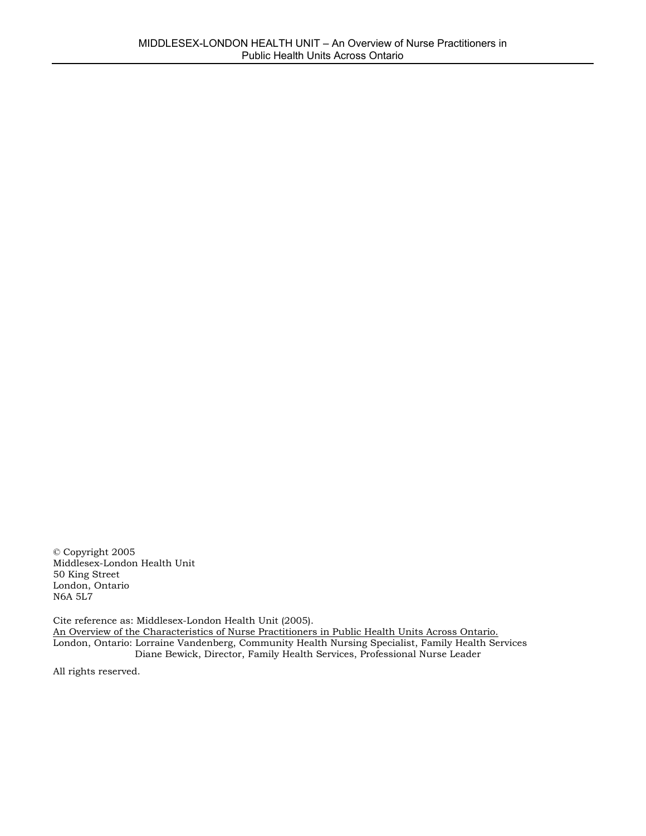© Copyright 2005 Middlesex-London Health Unit 50 King Street London, Ontario N6A 5L7

Cite reference as: Middlesex-London Health Unit (2005). An Overview of the Characteristics of Nurse Practitioners in Public Health Units Across Ontario. London, Ontario: Lorraine Vandenberg, Community Health Nursing Specialist, Family Health Services Diane Bewick, Director, Family Health Services, Professional Nurse Leader

All rights reserved.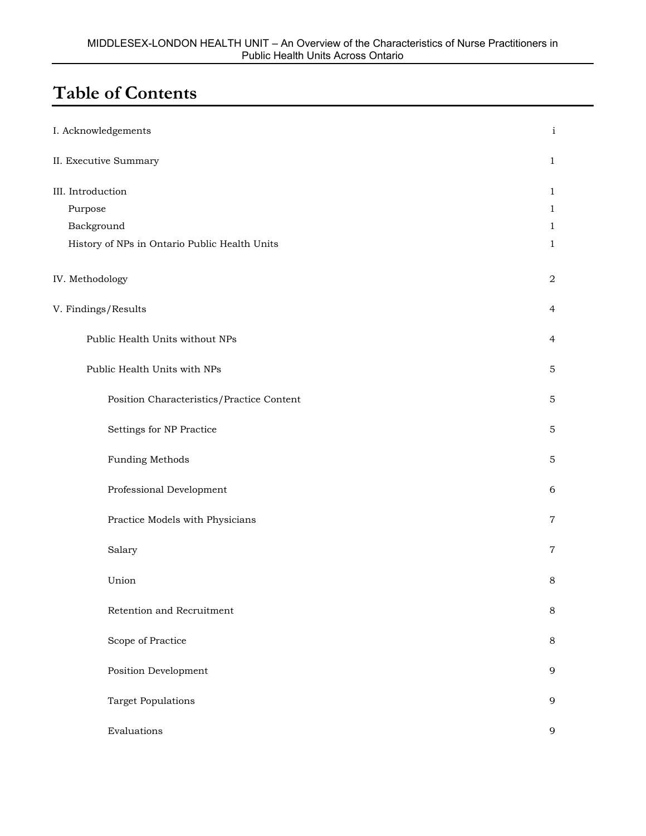## **Table of Contents**

| I. Acknowledgements                           | $\mathbf{i}$ |
|-----------------------------------------------|--------------|
| II. Executive Summary                         | 1            |
| III. Introduction                             | 1            |
| Purpose                                       | 1            |
| Background                                    | 1            |
| History of NPs in Ontario Public Health Units | 1            |
| IV. Methodology                               | 2            |
| V. Findings/Results                           | 4            |
| Public Health Units without NPs               | 4            |
| Public Health Units with NPs                  | $\mathbf 5$  |
| Position Characteristics/Practice Content     | 5            |
| Settings for NP Practice                      | 5            |
| <b>Funding Methods</b>                        | 5            |
| Professional Development                      | 6            |
| Practice Models with Physicians               | 7            |
| Salary                                        | 7            |
| Union                                         | 8            |
| Retention and Recruitment                     | $\,8\,$      |
| Scope of Practice                             | $\,8\,$      |
| Position Development                          | 9            |
| <b>Target Populations</b>                     | 9            |
| Evaluations                                   | 9            |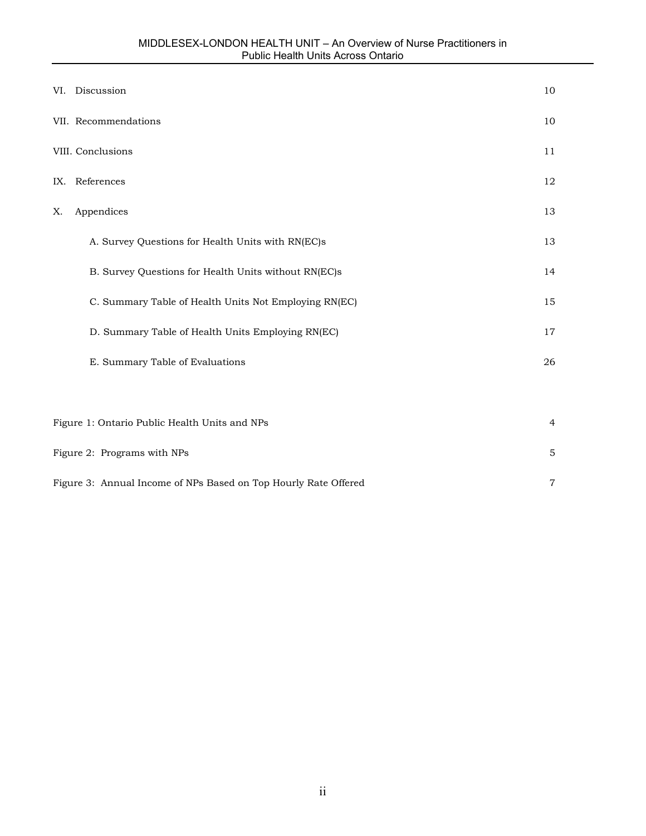|    | VI. Discussion                                        | 10             |
|----|-------------------------------------------------------|----------------|
|    | VII. Recommendations                                  | 10             |
|    | VIII. Conclusions                                     | 11             |
|    | IX. References                                        | 12             |
| Х. | Appendices                                            | 13             |
|    | A. Survey Questions for Health Units with RN(EC)s     | 13             |
|    | B. Survey Questions for Health Units without RN(EC)s  | 14             |
|    | C. Summary Table of Health Units Not Employing RN(EC) | 15             |
|    | D. Summary Table of Health Units Employing RN(EC)     | 17             |
|    | E. Summary Table of Evaluations                       | 26             |
|    |                                                       |                |
|    | Figure 1: Ontario Public Health Units and NPs         | $\overline{4}$ |
|    | Figure 2: Programs with NPs                           | 5              |

Figure 3: Annual Income of NPs Based on Top Hourly Rate Offered 7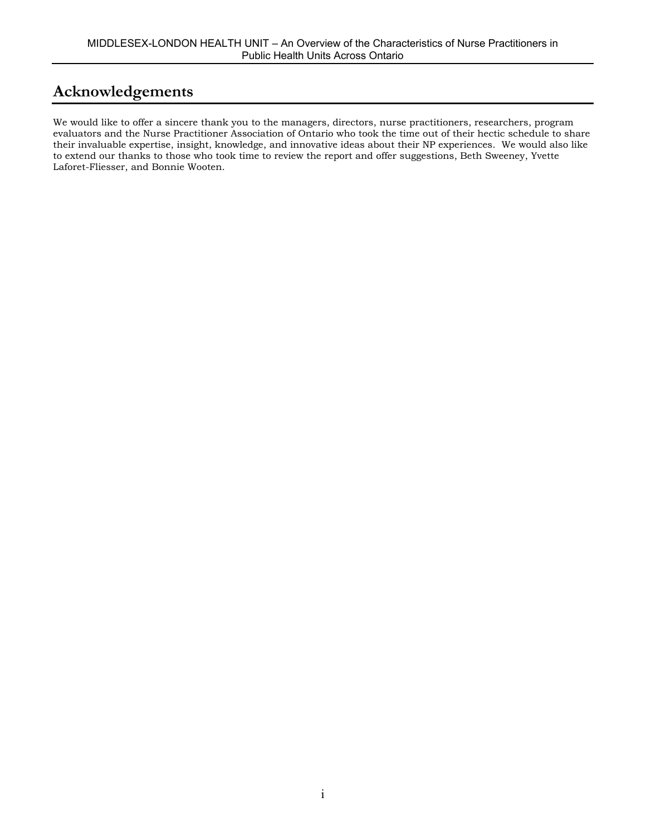## **Acknowledgements**

We would like to offer a sincere thank you to the managers, directors, nurse practitioners, researchers, program evaluators and the Nurse Practitioner Association of Ontario who took the time out of their hectic schedule to share their invaluable expertise, insight, knowledge, and innovative ideas about their NP experiences. We would also like to extend our thanks to those who took time to review the report and offer suggestions, Beth Sweeney, Yvette Laforet-Fliesser, and Bonnie Wooten.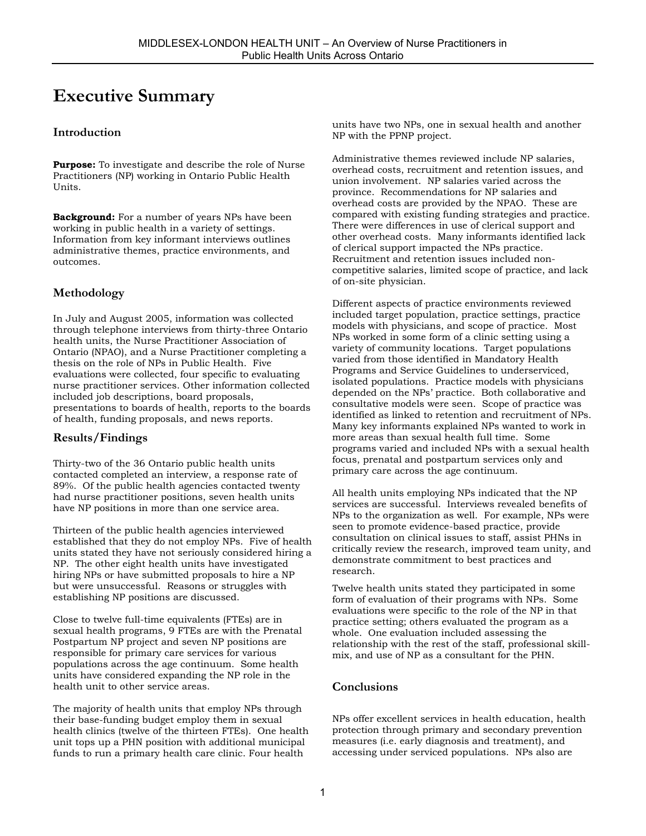## **Executive Summary**

### **Introduction**

**Purpose:** To investigate and describe the role of Nurse Practitioners (NP) working in Ontario Public Health Units.

**Background:** For a number of years NPs have been working in public health in a variety of settings. Information from key informant interviews outlines administrative themes, practice environments, and outcomes.

### **Methodology**

In July and August 2005, information was collected through telephone interviews from thirty-three Ontario health units, the Nurse Practitioner Association of Ontario (NPAO), and a Nurse Practitioner completing a thesis on the role of NPs in Public Health. Five evaluations were collected, four specific to evaluating nurse practitioner services. Other information collected included job descriptions, board proposals, presentations to boards of health, reports to the boards of health, funding proposals, and news reports.

### **Results/Findings**

Thirty-two of the 36 Ontario public health units contacted completed an interview, a response rate of 89%. Of the public health agencies contacted twenty had nurse practitioner positions, seven health units have NP positions in more than one service area.

Thirteen of the public health agencies interviewed established that they do not employ NPs. Five of health units stated they have not seriously considered hiring a NP. The other eight health units have investigated hiring NPs or have submitted proposals to hire a NP but were unsuccessful. Reasons or struggles with establishing NP positions are discussed.

Close to twelve full-time equivalents (FTEs) are in sexual health programs, 9 FTEs are with the Prenatal Postpartum NP project and seven NP positions are responsible for primary care services for various populations across the age continuum. Some health units have considered expanding the NP role in the health unit to other service areas.

The majority of health units that employ NPs through their base-funding budget employ them in sexual health clinics (twelve of the thirteen FTEs). One health unit tops up a PHN position with additional municipal funds to run a primary health care clinic. Four health

units have two NPs, one in sexual health and another NP with the PPNP project.

Administrative themes reviewed include NP salaries, overhead costs, recruitment and retention issues, and union involvement. NP salaries varied across the province. Recommendations for NP salaries and overhead costs are provided by the NPAO. These are compared with existing funding strategies and practice. There were differences in use of clerical support and other overhead costs. Many informants identified lack of clerical support impacted the NPs practice. Recruitment and retention issues included noncompetitive salaries, limited scope of practice, and lack of on-site physician.

Different aspects of practice environments reviewed included target population, practice settings, practice models with physicians, and scope of practice. Most NPs worked in some form of a clinic setting using a variety of community locations. Target populations varied from those identified in Mandatory Health Programs and Service Guidelines to underserviced, isolated populations. Practice models with physicians depended on the NPs' practice. Both collaborative and consultative models were seen. Scope of practice was identified as linked to retention and recruitment of NPs. Many key informants explained NPs wanted to work in more areas than sexual health full time. Some programs varied and included NPs with a sexual health focus, prenatal and postpartum services only and primary care across the age continuum.

All health units employing NPs indicated that the NP services are successful. Interviews revealed benefits of NPs to the organization as well. For example, NPs were seen to promote evidence-based practice, provide consultation on clinical issues to staff, assist PHNs in critically review the research, improved team unity, and demonstrate commitment to best practices and research.

Twelve health units stated they participated in some form of evaluation of their programs with NPs. Some evaluations were specific to the role of the NP in that practice setting; others evaluated the program as a whole. One evaluation included assessing the relationship with the rest of the staff, professional skillmix, and use of NP as a consultant for the PHN.

#### **Conclusions**

NPs offer excellent services in health education, health protection through primary and secondary prevention measures (i.e. early diagnosis and treatment), and accessing under serviced populations. NPs also are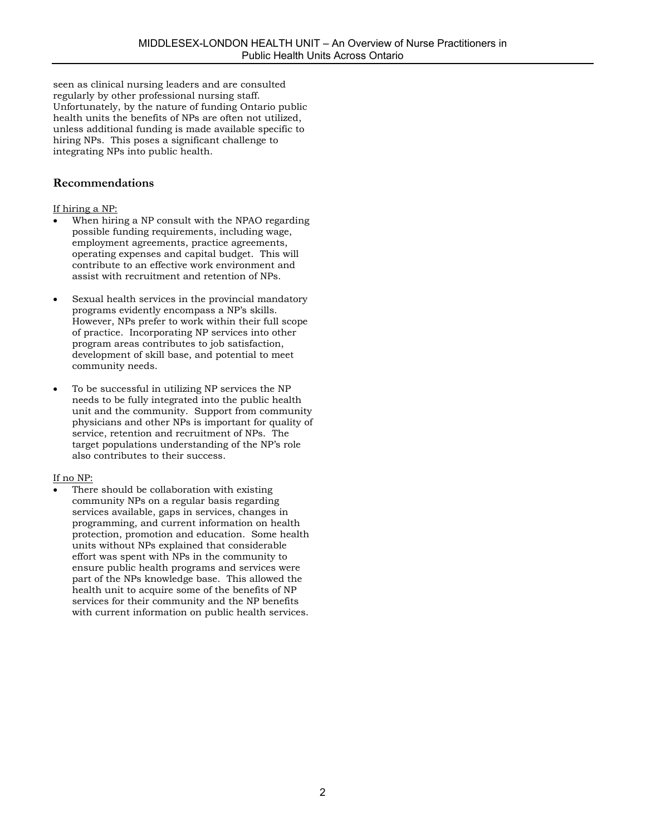seen as clinical nursing leaders and are consulted regularly by other professional nursing staff. Unfortunately, by the nature of funding Ontario public health units the benefits of NPs are often not utilized, unless additional funding is made available specific to hiring NPs. This poses a significant challenge to integrating NPs into public health.

### **Recommendations**

#### If hiring a NP:

- When hiring a NP consult with the NPAO regarding possible funding requirements, including wage, employment agreements, practice agreements, operating expenses and capital budget. This will contribute to an effective work environment and assist with recruitment and retention of NPs.
- Sexual health services in the provincial mandatory programs evidently encompass a NP's skills. However, NPs prefer to work within their full scope of practice. Incorporating NP services into other program areas contributes to job satisfaction, development of skill base, and potential to meet community needs.
- To be successful in utilizing NP services the NP needs to be fully integrated into the public health unit and the community. Support from community physicians and other NPs is important for quality of service, retention and recruitment of NPs. The target populations understanding of the NP's role also contributes to their success.

#### If no NP:

There should be collaboration with existing community NPs on a regular basis regarding services available, gaps in services, changes in programming, and current information on health protection, promotion and education. Some health units without NPs explained that considerable effort was spent with NPs in the community to ensure public health programs and services were part of the NPs knowledge base. This allowed the health unit to acquire some of the benefits of NP services for their community and the NP benefits with current information on public health services.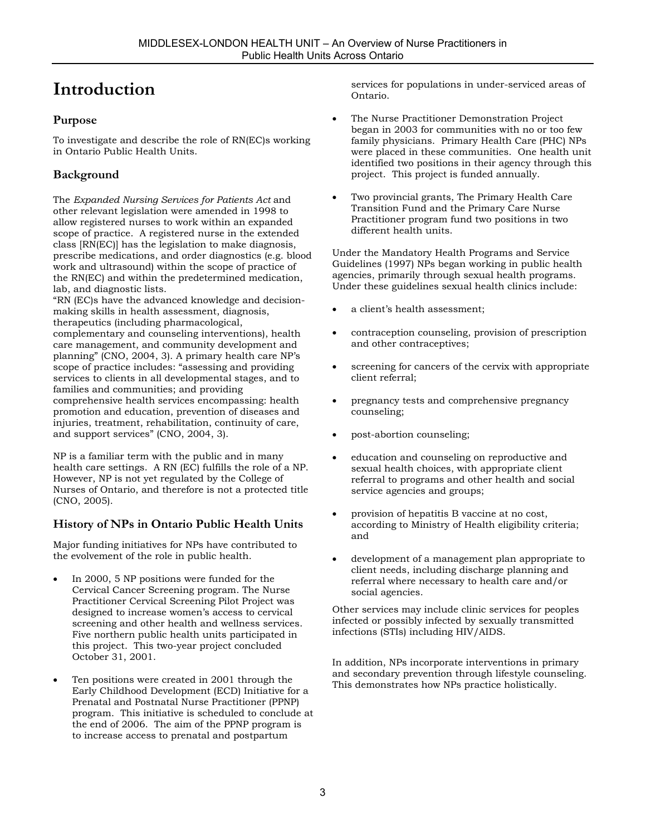## **Introduction**

### **Purpose**

To investigate and describe the role of RN(EC)s working in Ontario Public Health Units.

### **Background**

The *Expanded Nursing Services for Patients Act* and other relevant legislation were amended in 1998 to allow registered nurses to work within an expanded scope of practice. A registered nurse in the extended class [RN(EC)] has the legislation to make diagnosis, prescribe medications, and order diagnostics (e.g. blood work and ultrasound) within the scope of practice of the RN(EC) and within the predetermined medication, lab, and diagnostic lists.

"RN (EC)s have the advanced knowledge and decisionmaking skills in health assessment, diagnosis, therapeutics (including pharmacological, complementary and counseling interventions), health care management, and community development and planning" (CNO, 2004, 3). A primary health care NP's scope of practice includes: "assessing and providing services to clients in all developmental stages, and to families and communities; and providing comprehensive health services encompassing: health promotion and education, prevention of diseases and injuries, treatment, rehabilitation, continuity of care, and support services" (CNO, 2004, 3).

NP is a familiar term with the public and in many health care settings. A RN (EC) fulfills the role of a NP. However, NP is not yet regulated by the College of Nurses of Ontario, and therefore is not a protected title (CNO, 2005).

### **History of NPs in Ontario Public Health Units**

Major funding initiatives for NPs have contributed to the evolvement of the role in public health.

- In 2000, 5 NP positions were funded for the Cervical Cancer Screening program. The Nurse Practitioner Cervical Screening Pilot Project was designed to increase women's access to cervical screening and other health and wellness services. Five northern public health units participated in this project. This two-year project concluded October 31, 2001.
- Ten positions were created in 2001 through the Early Childhood Development (ECD) Initiative for a Prenatal and Postnatal Nurse Practitioner (PPNP) program. This initiative is scheduled to conclude at the end of 2006. The aim of the PPNP program is to increase access to prenatal and postpartum

services for populations in under-serviced areas of Ontario.

- The Nurse Practitioner Demonstration Project began in 2003 for communities with no or too few family physicians. Primary Health Care (PHC) NPs were placed in these communities. One health unit identified two positions in their agency through this project. This project is funded annually.
- Two provincial grants, The Primary Health Care Transition Fund and the Primary Care Nurse Practitioner program fund two positions in two different health units.

Under the Mandatory Health Programs and Service Guidelines (1997) NPs began working in public health agencies, primarily through sexual health programs. Under these guidelines sexual health clinics include:

- a client's health assessment;
- contraception counseling, provision of prescription and other contraceptives;
- screening for cancers of the cervix with appropriate client referral;
- pregnancy tests and comprehensive pregnancy counseling;
- post-abortion counseling;
- education and counseling on reproductive and sexual health choices, with appropriate client referral to programs and other health and social service agencies and groups;
- provision of hepatitis B vaccine at no cost, according to Ministry of Health eligibility criteria; and
- development of a management plan appropriate to client needs, including discharge planning and referral where necessary to health care and/or social agencies.

Other services may include clinic services for peoples infected or possibly infected by sexually transmitted infections (STIs) including HIV/AIDS.

In addition, NPs incorporate interventions in primary and secondary prevention through lifestyle counseling. This demonstrates how NPs practice holistically.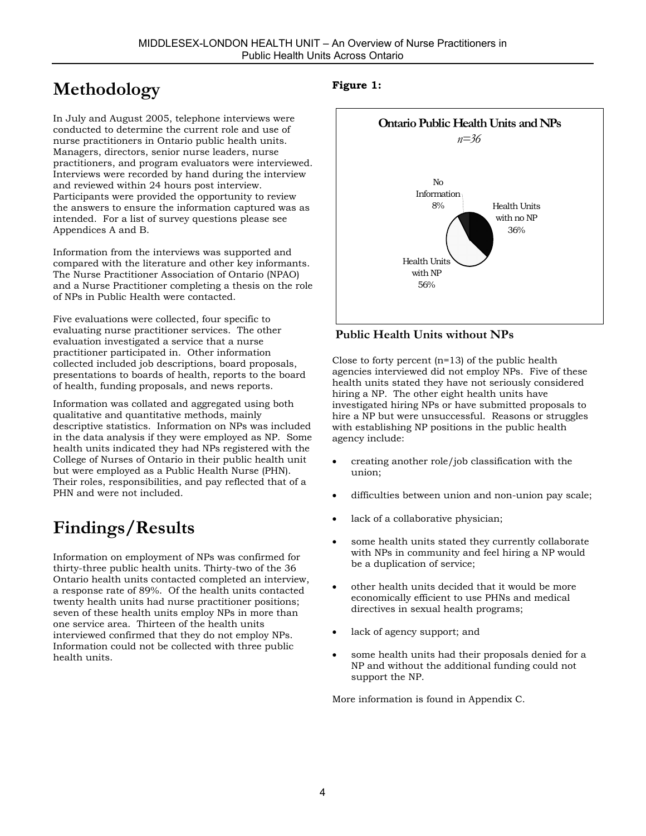## **Methodology**

In July and August 2005, telephone interviews were conducted to determine the current role and use of nurse practitioners in Ontario public health units. Managers, directors, senior nurse leaders, nurse practitioners, and program evaluators were interviewed. Interviews were recorded by hand during the interview and reviewed within 24 hours post interview. Participants were provided the opportunity to review the answers to ensure the information captured was as intended. For a list of survey questions please see Appendices A and B.

Information from the interviews was supported and compared with the literature and other key informants. The Nurse Practitioner Association of Ontario (NPAO) and a Nurse Practitioner completing a thesis on the role of NPs in Public Health were contacted.

Five evaluations were collected, four specific to evaluating nurse practitioner services. The other evaluation investigated a service that a nurse practitioner participated in. Other information collected included job descriptions, board proposals, presentations to boards of health, reports to the board of health, funding proposals, and news reports.

Information was collated and aggregated using both qualitative and quantitative methods, mainly descriptive statistics. Information on NPs was included in the data analysis if they were employed as NP. Some health units indicated they had NPs registered with the College of Nurses of Ontario in their public health unit but were employed as a Public Health Nurse (PHN). Their roles, responsibilities, and pay reflected that of a PHN and were not included.

## **Findings/Results**

Information on employment of NPs was confirmed for thirty-three public health units. Thirty-two of the 36 Ontario health units contacted completed an interview, a response rate of 89%. Of the health units contacted twenty health units had nurse practitioner positions; seven of these health units employ NPs in more than one service area. Thirteen of the health units interviewed confirmed that they do not employ NPs. Information could not be collected with three public health units.

### **Figure 1:**



### **Public Health Units without NPs**

Close to forty percent  $(n=13)$  of the public health agencies interviewed did not employ NPs. Five of these health units stated they have not seriously considered hiring a NP. The other eight health units have investigated hiring NPs or have submitted proposals to hire a NP but were unsuccessful. Reasons or struggles with establishing NP positions in the public health agency include:

- creating another role/job classification with the union;
- difficulties between union and non-union pay scale;
- lack of a collaborative physician;
- some health units stated they currently collaborate with NPs in community and feel hiring a NP would be a duplication of service;
- other health units decided that it would be more economically efficient to use PHNs and medical directives in sexual health programs;
- lack of agency support; and
- some health units had their proposals denied for a NP and without the additional funding could not support the NP.

More information is found in Appendix C.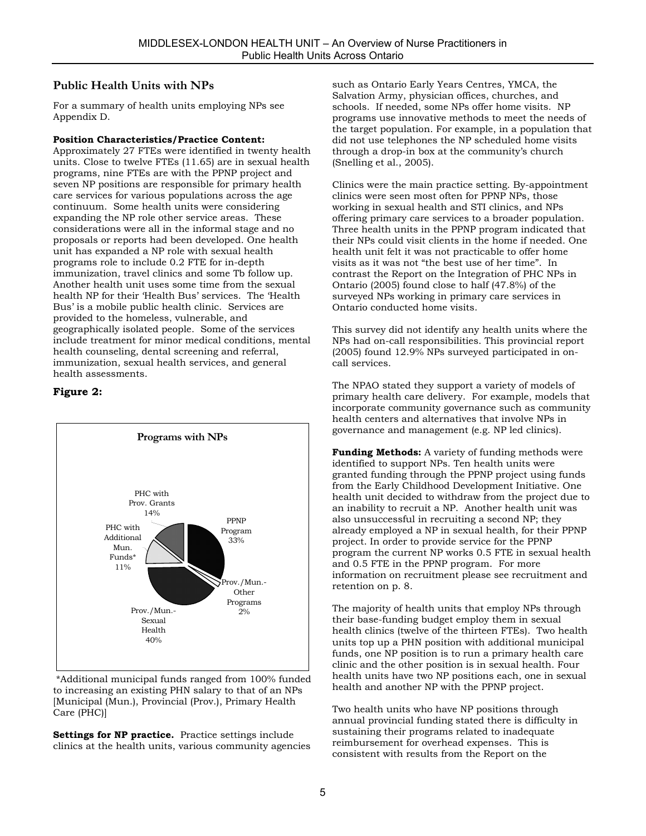### **Public Health Units with NPs**

For a summary of health units employing NPs see Appendix D.

#### **Position Characteristics/Practice Content:**

Approximately 27 FTEs were identified in twenty health units. Close to twelve FTEs (11.65) are in sexual health programs, nine FTEs are with the PPNP project and seven NP positions are responsible for primary health care services for various populations across the age continuum. Some health units were considering expanding the NP role other service areas. These considerations were all in the informal stage and no proposals or reports had been developed. One health unit has expanded a NP role with sexual health programs role to include 0.2 FTE for in-depth immunization, travel clinics and some Tb follow up. Another health unit uses some time from the sexual health NP for their 'Health Bus' services. The 'Health Bus' is a mobile public health clinic. Services are provided to the homeless, vulnerable, and geographically isolated people. Some of the services include treatment for minor medical conditions, mental health counseling, dental screening and referral, immunization, sexual health services, and general health assessments.

#### **Figure 2:**



 \*Additional municipal funds ranged from 100% funded to increasing an existing PHN salary to that of an NPs [Municipal (Mun.), Provincial (Prov.), Primary Health Care (PHC)]

**Settings for NP practice.** Practice settings include clinics at the health units, various community agencies such as Ontario Early Years Centres, YMCA, the Salvation Army, physician offices, churches, and schools. If needed, some NPs offer home visits. NP programs use innovative methods to meet the needs of the target population. For example, in a population that did not use telephones the NP scheduled home visits through a drop-in box at the community's church (Snelling et al., 2005).

Clinics were the main practice setting. By-appointment clinics were seen most often for PPNP NPs, those working in sexual health and STI clinics, and NPs offering primary care services to a broader population. Three health units in the PPNP program indicated that their NPs could visit clients in the home if needed. One health unit felt it was not practicable to offer home visits as it was not "the best use of her time". In contrast the Report on the Integration of PHC NPs in Ontario (2005) found close to half (47.8%) of the surveyed NPs working in primary care services in Ontario conducted home visits.

This survey did not identify any health units where the NPs had on-call responsibilities. This provincial report (2005) found 12.9% NPs surveyed participated in oncall services.

The NPAO stated they support a variety of models of primary health care delivery. For example, models that incorporate community governance such as community health centers and alternatives that involve NPs in governance and management (e.g. NP led clinics).

**Funding Methods:** A variety of funding methods were identified to support NPs. Ten health units were granted funding through the PPNP project using funds from the Early Childhood Development Initiative. One health unit decided to withdraw from the project due to an inability to recruit a NP. Another health unit was also unsuccessful in recruiting a second NP; they already employed a NP in sexual health, for their PPNP project. In order to provide service for the PPNP program the current NP works 0.5 FTE in sexual health and 0.5 FTE in the PPNP program. For more information on recruitment please see recruitment and retention on p. 8.

The majority of health units that employ NPs through their base-funding budget employ them in sexual health clinics (twelve of the thirteen FTEs). Two health units top up a PHN position with additional municipal funds, one NP position is to run a primary health care clinic and the other position is in sexual health. Four health units have two NP positions each, one in sexual health and another NP with the PPNP project.

Two health units who have NP positions through annual provincial funding stated there is difficulty in sustaining their programs related to inadequate reimbursement for overhead expenses. This is consistent with results from the Report on the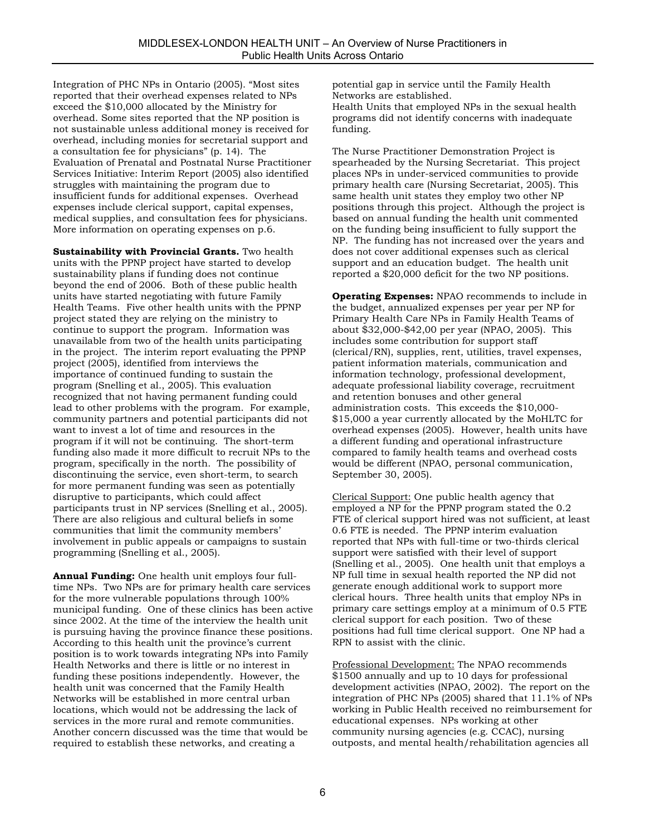Integration of PHC NPs in Ontario (2005). "Most sites reported that their overhead expenses related to NPs exceed the \$10,000 allocated by the Ministry for overhead. Some sites reported that the NP position is not sustainable unless additional money is received for overhead, including monies for secretarial support and a consultation fee for physicians" (p. 14). The Evaluation of Prenatal and Postnatal Nurse Practitioner Services Initiative: Interim Report (2005) also identified struggles with maintaining the program due to insufficient funds for additional expenses. Overhead expenses include clerical support, capital expenses, medical supplies, and consultation fees for physicians. More information on operating expenses on p.6.

**Sustainability with Provincial Grants.** Two health units with the PPNP project have started to develop sustainability plans if funding does not continue beyond the end of 2006. Both of these public health units have started negotiating with future Family Health Teams. Five other health units with the PPNP project stated they are relying on the ministry to continue to support the program. Information was unavailable from two of the health units participating in the project. The interim report evaluating the PPNP project (2005), identified from interviews the importance of continued funding to sustain the program (Snelling et al., 2005). This evaluation recognized that not having permanent funding could lead to other problems with the program. For example, community partners and potential participants did not want to invest a lot of time and resources in the program if it will not be continuing. The short-term funding also made it more difficult to recruit NPs to the program, specifically in the north. The possibility of discontinuing the service, even short-term, to search for more permanent funding was seen as potentially disruptive to participants, which could affect participants trust in NP services (Snelling et al., 2005). There are also religious and cultural beliefs in some communities that limit the community members' involvement in public appeals or campaigns to sustain programming (Snelling et al., 2005).

**Annual Funding:** One health unit employs four fulltime NPs. Two NPs are for primary health care services for the more vulnerable populations through 100% municipal funding. One of these clinics has been active since 2002. At the time of the interview the health unit is pursuing having the province finance these positions. According to this health unit the province's current position is to work towards integrating NPs into Family Health Networks and there is little or no interest in funding these positions independently. However, the health unit was concerned that the Family Health Networks will be established in more central urban locations, which would not be addressing the lack of services in the more rural and remote communities. Another concern discussed was the time that would be required to establish these networks, and creating a

potential gap in service until the Family Health Networks are established.

Health Units that employed NPs in the sexual health programs did not identify concerns with inadequate funding.

The Nurse Practitioner Demonstration Project is spearheaded by the Nursing Secretariat. This project places NPs in under-serviced communities to provide primary health care (Nursing Secretariat, 2005). This same health unit states they employ two other NP positions through this project. Although the project is based on annual funding the health unit commented on the funding being insufficient to fully support the NP. The funding has not increased over the years and does not cover additional expenses such as clerical support and an education budget. The health unit reported a \$20,000 deficit for the two NP positions.

**Operating Expenses:** NPAO recommends to include in the budget, annualized expenses per year per NP for Primary Health Care NPs in Family Health Teams of about \$32,000-\$42,00 per year (NPAO, 2005). This includes some contribution for support staff (clerical/RN), supplies, rent, utilities, travel expenses, patient information materials, communication and information technology, professional development, adequate professional liability coverage, recruitment and retention bonuses and other general administration costs. This exceeds the \$10,000- \$15,000 a year currently allocated by the MoHLTC for overhead expenses (2005). However, health units have a different funding and operational infrastructure compared to family health teams and overhead costs would be different (NPAO, personal communication, September 30, 2005).

Clerical Support: One public health agency that employed a NP for the PPNP program stated the 0.2 FTE of clerical support hired was not sufficient, at least 0.6 FTE is needed. The PPNP interim evaluation reported that NPs with full-time or two-thirds clerical support were satisfied with their level of support (Snelling et al., 2005). One health unit that employs a NP full time in sexual health reported the NP did not generate enough additional work to support more clerical hours. Three health units that employ NPs in primary care settings employ at a minimum of 0.5 FTE clerical support for each position. Two of these positions had full time clerical support. One NP had a RPN to assist with the clinic.

Professional Development: The NPAO recommends \$1500 annually and up to 10 days for professional development activities (NPAO, 2002). The report on the integration of PHC NPs (2005) shared that 11.1% of NPs working in Public Health received no reimbursement for educational expenses. NPs working at other community nursing agencies (e.g. CCAC), nursing outposts, and mental health/rehabilitation agencies all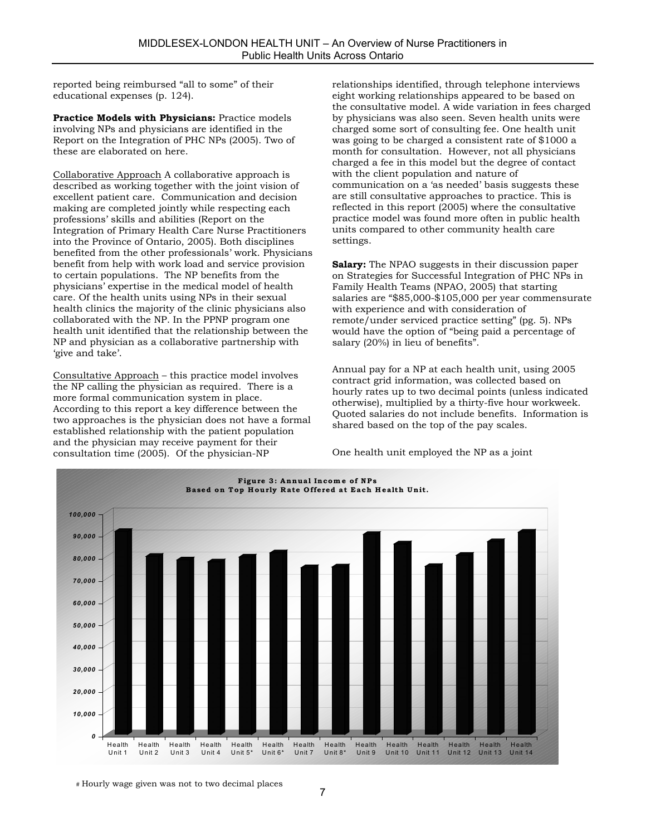reported being reimbursed "all to some" of their educational expenses (p. 124).

**Practice Models with Physicians:** Practice models involving NPs and physicians are identified in the Report on the Integration of PHC NPs (2005). Two of these are elaborated on here.

Collaborative Approach A collaborative approach is described as working together with the joint vision of excellent patient care. Communication and decision making are completed jointly while respecting each professions' skills and abilities (Report on the Integration of Primary Health Care Nurse Practitioners into the Province of Ontario, 2005). Both disciplines benefited from the other professionals' work. Physicians benefit from help with work load and service provision to certain populations. The NP benefits from the physicians' expertise in the medical model of health care. Of the health units using NPs in their sexual health clinics the majority of the clinic physicians also collaborated with the NP. In the PPNP program one health unit identified that the relationship between the NP and physician as a collaborative partnership with 'give and take'.

Consultative Approach – this practice model involves the NP calling the physician as required. There is a more formal communication system in place. According to this report a key difference between the two approaches is the physician does not have a formal established relationship with the patient population and the physician may receive payment for their consultation time (2005). Of the physician-NP

relationships identified, through telephone interviews eight working relationships appeared to be based on the consultative model. A wide variation in fees charged by physicians was also seen. Seven health units were charged some sort of consulting fee. One health unit was going to be charged a consistent rate of \$1000 a month for consultation. However, not all physicians charged a fee in this model but the degree of contact with the client population and nature of communication on a 'as needed' basis suggests these are still consultative approaches to practice. This is reflected in this report (2005) where the consultative practice model was found more often in public health units compared to other community health care settings.

**Salary:** The NPAO suggests in their discussion paper on Strategies for Successful Integration of PHC NPs in Family Health Teams (NPAO, 2005) that starting salaries are "\$85,000-\$105,000 per year commensurate with experience and with consideration of remote/under serviced practice setting" (pg. 5). NPs would have the option of "being paid a percentage of salary (20%) in lieu of benefits".

Annual pay for a NP at each health unit, using 2005 contract grid information, was collected based on hourly rates up to two decimal points (unless indicated otherwise), multiplied by a thirty-five hour workweek. Quoted salaries do not include benefits. Information is shared based on the top of the pay scales.

One health unit employed the NP as a joint



# Hourly wage given was not to two decimal places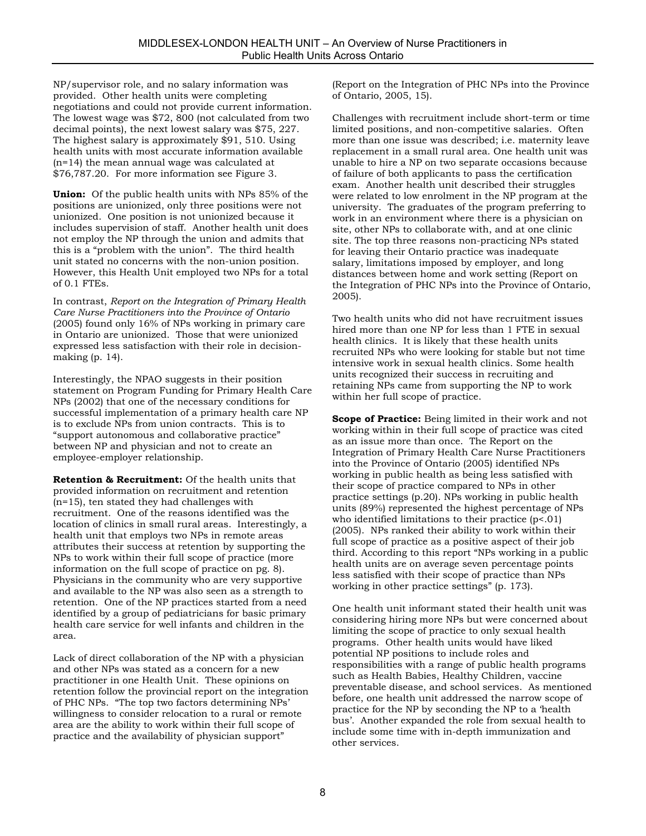NP/supervisor role, and no salary information was provided. Other health units were completing negotiations and could not provide current information. The lowest wage was \$72, 800 (not calculated from two decimal points), the next lowest salary was \$75, 227. The highest salary is approximately \$91, 510. Using health units with most accurate information available (n=14) the mean annual wage was calculated at \$76,787.20. For more information see Figure 3.

**Union:** Of the public health units with NPs 85% of the positions are unionized, only three positions were not unionized. One position is not unionized because it includes supervision of staff. Another health unit does not employ the NP through the union and admits that this is a "problem with the union". The third health unit stated no concerns with the non-union position. However, this Health Unit employed two NPs for a total of 0.1 FTEs.

In contrast, *Report on the Integration of Primary Health Care Nurse Practitioners into the Province of Ontario* (2005) found only 16% of NPs working in primary care in Ontario are unionized. Those that were unionized expressed less satisfaction with their role in decisionmaking (p. 14).

Interestingly, the NPAO suggests in their position statement on Program Funding for Primary Health Care NPs (2002) that one of the necessary conditions for successful implementation of a primary health care NP is to exclude NPs from union contracts. This is to "support autonomous and collaborative practice" between NP and physician and not to create an employee-employer relationship.

**Retention & Recruitment:** Of the health units that provided information on recruitment and retention (n=15), ten stated they had challenges with recruitment. One of the reasons identified was the location of clinics in small rural areas. Interestingly, a health unit that employs two NPs in remote areas attributes their success at retention by supporting the NPs to work within their full scope of practice (more information on the full scope of practice on pg. 8). Physicians in the community who are very supportive and available to the NP was also seen as a strength to retention. One of the NP practices started from a need identified by a group of pediatricians for basic primary health care service for well infants and children in the area.

Lack of direct collaboration of the NP with a physician and other NPs was stated as a concern for a new practitioner in one Health Unit. These opinions on retention follow the provincial report on the integration of PHC NPs. "The top two factors determining NPs' willingness to consider relocation to a rural or remote area are the ability to work within their full scope of practice and the availability of physician support"

(Report on the Integration of PHC NPs into the Province of Ontario, 2005, 15).

Challenges with recruitment include short-term or time limited positions, and non-competitive salaries. Often more than one issue was described; i.e. maternity leave replacement in a small rural area. One health unit was unable to hire a NP on two separate occasions because of failure of both applicants to pass the certification exam. Another health unit described their struggles were related to low enrolment in the NP program at the university. The graduates of the program preferring to work in an environment where there is a physician on site, other NPs to collaborate with, and at one clinic site. The top three reasons non-practicing NPs stated for leaving their Ontario practice was inadequate salary, limitations imposed by employer, and long distances between home and work setting (Report on the Integration of PHC NPs into the Province of Ontario, 2005).

Two health units who did not have recruitment issues hired more than one NP for less than 1 FTE in sexual health clinics. It is likely that these health units recruited NPs who were looking for stable but not time intensive work in sexual health clinics. Some health units recognized their success in recruiting and retaining NPs came from supporting the NP to work within her full scope of practice.

**Scope of Practice:** Being limited in their work and not working within in their full scope of practice was cited as an issue more than once. The Report on the Integration of Primary Health Care Nurse Practitioners into the Province of Ontario (2005) identified NPs working in public health as being less satisfied with their scope of practice compared to NPs in other practice settings (p.20). NPs working in public health units (89%) represented the highest percentage of NPs who identified limitations to their practice (p<.01) (2005). NPs ranked their ability to work within their full scope of practice as a positive aspect of their job third. According to this report "NPs working in a public health units are on average seven percentage points less satisfied with their scope of practice than NPs working in other practice settings" (p. 173).

One health unit informant stated their health unit was considering hiring more NPs but were concerned about limiting the scope of practice to only sexual health programs. Other health units would have liked potential NP positions to include roles and responsibilities with a range of public health programs such as Health Babies, Healthy Children, vaccine preventable disease, and school services. As mentioned before, one health unit addressed the narrow scope of practice for the NP by seconding the NP to a 'health bus'. Another expanded the role from sexual health to include some time with in-depth immunization and other services.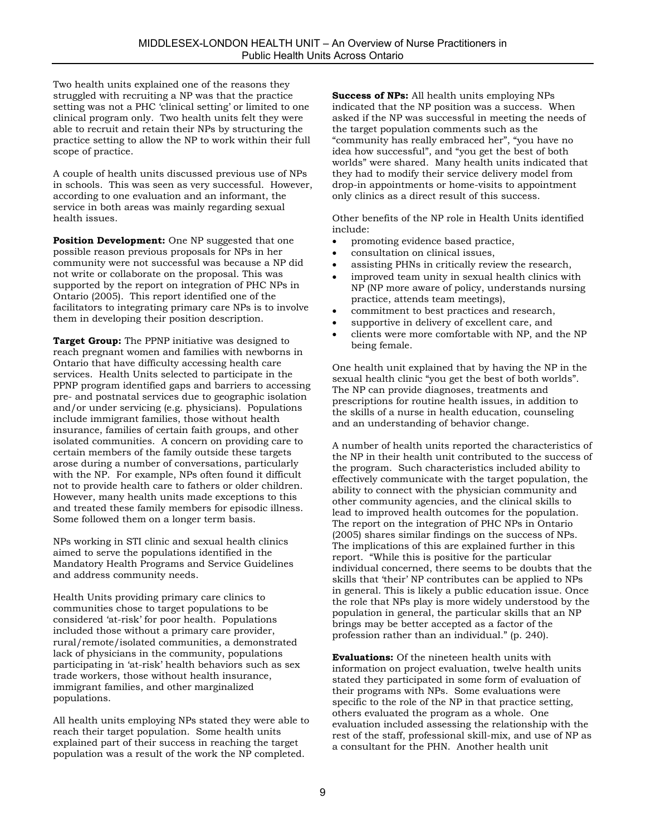Two health units explained one of the reasons they struggled with recruiting a NP was that the practice setting was not a PHC 'clinical setting' or limited to one clinical program only. Two health units felt they were able to recruit and retain their NPs by structuring the practice setting to allow the NP to work within their full scope of practice.

A couple of health units discussed previous use of NPs in schools. This was seen as very successful. However, according to one evaluation and an informant, the service in both areas was mainly regarding sexual health issues.

**Position Development:** One NP suggested that one possible reason previous proposals for NPs in her community were not successful was because a NP did not write or collaborate on the proposal. This was supported by the report on integration of PHC NPs in Ontario (2005). This report identified one of the facilitators to integrating primary care NPs is to involve them in developing their position description.

**Target Group:** The PPNP initiative was designed to reach pregnant women and families with newborns in Ontario that have difficulty accessing health care services. Health Units selected to participate in the PPNP program identified gaps and barriers to accessing pre- and postnatal services due to geographic isolation and/or under servicing (e.g. physicians). Populations include immigrant families, those without health insurance, families of certain faith groups, and other isolated communities. A concern on providing care to certain members of the family outside these targets arose during a number of conversations, particularly with the NP. For example, NPs often found it difficult not to provide health care to fathers or older children. However, many health units made exceptions to this and treated these family members for episodic illness. Some followed them on a longer term basis.

NPs working in STI clinic and sexual health clinics aimed to serve the populations identified in the Mandatory Health Programs and Service Guidelines and address community needs.

Health Units providing primary care clinics to communities chose to target populations to be considered 'at-risk' for poor health. Populations included those without a primary care provider, rural/remote/isolated communities, a demonstrated lack of physicians in the community, populations participating in 'at-risk' health behaviors such as sex trade workers, those without health insurance, immigrant families, and other marginalized populations.

All health units employing NPs stated they were able to reach their target population. Some health units explained part of their success in reaching the target population was a result of the work the NP completed.

**Success of NPs:** All health units employing NPs indicated that the NP position was a success. When asked if the NP was successful in meeting the needs of the target population comments such as the "community has really embraced her", "you have no idea how successful", and "you get the best of both worlds" were shared. Many health units indicated that they had to modify their service delivery model from drop-in appointments or home-visits to appointment only clinics as a direct result of this success.

Other benefits of the NP role in Health Units identified include:

- promoting evidence based practice,
- consultation on clinical issues,
- assisting PHNs in critically review the research,
- improved team unity in sexual health clinics with NP (NP more aware of policy, understands nursing practice, attends team meetings),
- commitment to best practices and research,
- supportive in delivery of excellent care, and
- clients were more comfortable with NP, and the NP being female.

One health unit explained that by having the NP in the sexual health clinic "you get the best of both worlds". The NP can provide diagnoses, treatments and prescriptions for routine health issues, in addition to the skills of a nurse in health education, counseling and an understanding of behavior change.

A number of health units reported the characteristics of the NP in their health unit contributed to the success of the program. Such characteristics included ability to effectively communicate with the target population, the ability to connect with the physician community and other community agencies, and the clinical skills to lead to improved health outcomes for the population. The report on the integration of PHC NPs in Ontario (2005) shares similar findings on the success of NPs. The implications of this are explained further in this report. "While this is positive for the particular individual concerned, there seems to be doubts that the skills that 'their' NP contributes can be applied to NPs in general. This is likely a public education issue. Once the role that NPs play is more widely understood by the population in general, the particular skills that an NP brings may be better accepted as a factor of the profession rather than an individual." (p. 240).

**Evaluations:** Of the nineteen health units with information on project evaluation, twelve health units stated they participated in some form of evaluation of their programs with NPs. Some evaluations were specific to the role of the NP in that practice setting, others evaluated the program as a whole. One evaluation included assessing the relationship with the rest of the staff, professional skill-mix, and use of NP as a consultant for the PHN. Another health unit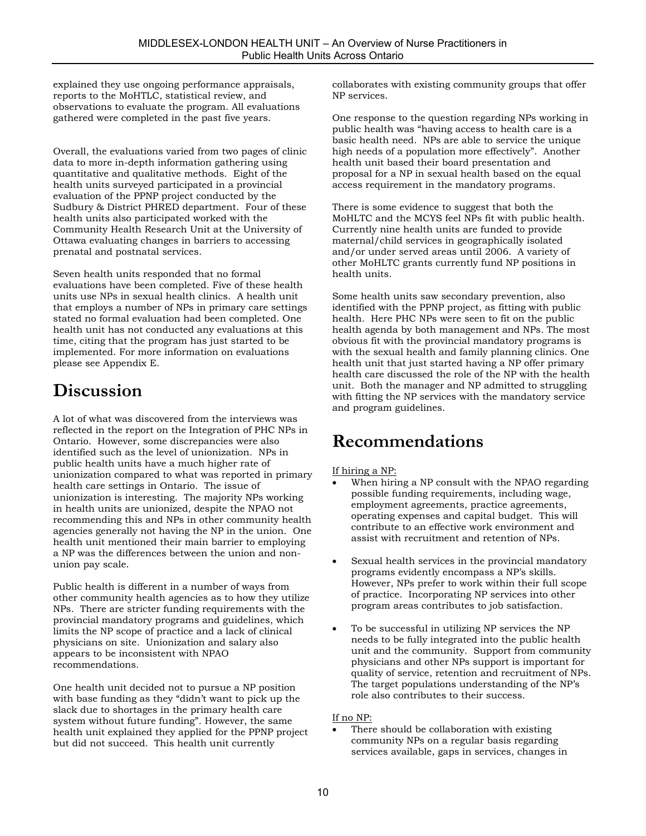explained they use ongoing performance appraisals, reports to the MoHTLC, statistical review, and observations to evaluate the program. All evaluations gathered were completed in the past five years.

Overall, the evaluations varied from two pages of clinic data to more in-depth information gathering using quantitative and qualitative methods. Eight of the health units surveyed participated in a provincial evaluation of the PPNP project conducted by the Sudbury & District PHRED department. Four of these health units also participated worked with the Community Health Research Unit at the University of Ottawa evaluating changes in barriers to accessing prenatal and postnatal services.

Seven health units responded that no formal evaluations have been completed. Five of these health units use NPs in sexual health clinics. A health unit that employs a number of NPs in primary care settings stated no formal evaluation had been completed. One health unit has not conducted any evaluations at this time, citing that the program has just started to be implemented. For more information on evaluations please see Appendix E.

## **Discussion**

A lot of what was discovered from the interviews was reflected in the report on the Integration of PHC NPs in Ontario. However, some discrepancies were also identified such as the level of unionization. NPs in public health units have a much higher rate of unionization compared to what was reported in primary health care settings in Ontario. The issue of unionization is interesting. The majority NPs working in health units are unionized, despite the NPAO not recommending this and NPs in other community health agencies generally not having the NP in the union. One health unit mentioned their main barrier to employing a NP was the differences between the union and nonunion pay scale.

Public health is different in a number of ways from other community health agencies as to how they utilize NPs. There are stricter funding requirements with the provincial mandatory programs and guidelines, which limits the NP scope of practice and a lack of clinical physicians on site. Unionization and salary also appears to be inconsistent with NPAO recommendations.

One health unit decided not to pursue a NP position with base funding as they "didn't want to pick up the slack due to shortages in the primary health care system without future funding". However, the same health unit explained they applied for the PPNP project but did not succeed. This health unit currently

collaborates with existing community groups that offer NP services.

One response to the question regarding NPs working in public health was "having access to health care is a basic health need. NPs are able to service the unique high needs of a population more effectively". Another health unit based their board presentation and proposal for a NP in sexual health based on the equal access requirement in the mandatory programs.

There is some evidence to suggest that both the MoHLTC and the MCYS feel NPs fit with public health. Currently nine health units are funded to provide maternal/child services in geographically isolated and/or under served areas until 2006. A variety of other MoHLTC grants currently fund NP positions in health units.

Some health units saw secondary prevention, also identified with the PPNP project, as fitting with public health. Here PHC NPs were seen to fit on the public health agenda by both management and NPs. The most obvious fit with the provincial mandatory programs is with the sexual health and family planning clinics. One health unit that just started having a NP offer primary health care discussed the role of the NP with the health unit. Both the manager and NP admitted to struggling with fitting the NP services with the mandatory service and program guidelines.

## **Recommendations**

#### If hiring a NP:

- When hiring a NP consult with the NPAO regarding possible funding requirements, including wage, employment agreements, practice agreements, operating expenses and capital budget. This will contribute to an effective work environment and assist with recruitment and retention of NPs.
- Sexual health services in the provincial mandatory programs evidently encompass a NP's skills. However, NPs prefer to work within their full scope of practice. Incorporating NP services into other program areas contributes to job satisfaction.
- To be successful in utilizing NP services the NP needs to be fully integrated into the public health unit and the community. Support from community physicians and other NPs support is important for quality of service, retention and recruitment of NPs. The target populations understanding of the NP's role also contributes to their success.

#### If no NP:

There should be collaboration with existing community NPs on a regular basis regarding services available, gaps in services, changes in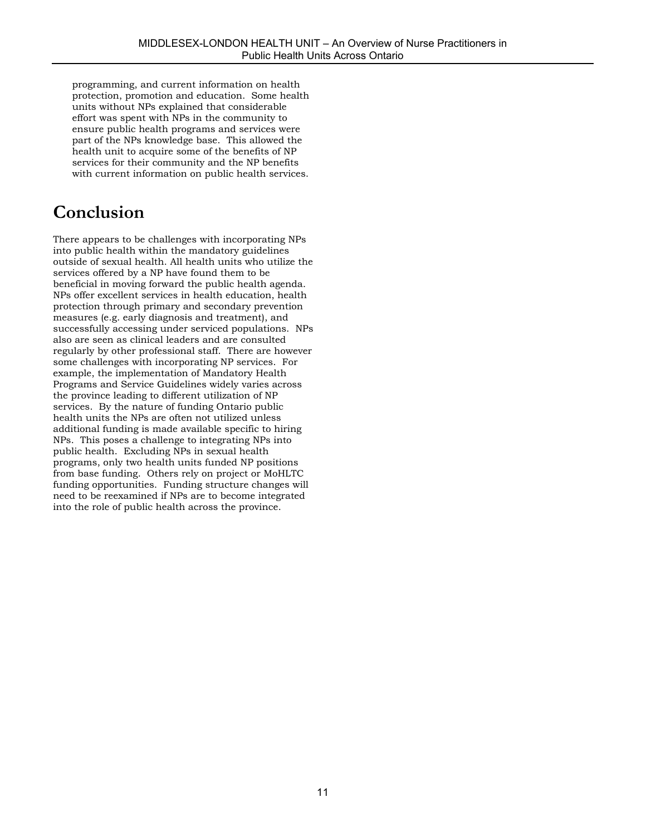programming, and current information on health protection, promotion and education. Some health units without NPs explained that considerable effort was spent with NPs in the community to ensure public health programs and services were part of the NPs knowledge base. This allowed the health unit to acquire some of the benefits of NP services for their community and the NP benefits with current information on public health services.

## **Conclusion**

There appears to be challenges with incorporating NPs into public health within the mandatory guidelines outside of sexual health. All health units who utilize the services offered by a NP have found them to be beneficial in moving forward the public health agenda. NPs offer excellent services in health education, health protection through primary and secondary prevention measures (e.g. early diagnosis and treatment), and successfully accessing under serviced populations. NPs also are seen as clinical leaders and are consulted regularly by other professional staff. There are however some challenges with incorporating NP services. For example, the implementation of Mandatory Health Programs and Service Guidelines widely varies across the province leading to different utilization of NP services. By the nature of funding Ontario public health units the NPs are often not utilized unless additional funding is made available specific to hiring NPs. This poses a challenge to integrating NPs into public health. Excluding NPs in sexual health programs, only two health units funded NP positions from base funding. Others rely on project or MoHLTC funding opportunities. Funding structure changes will need to be reexamined if NPs are to become integrated into the role of public health across the province.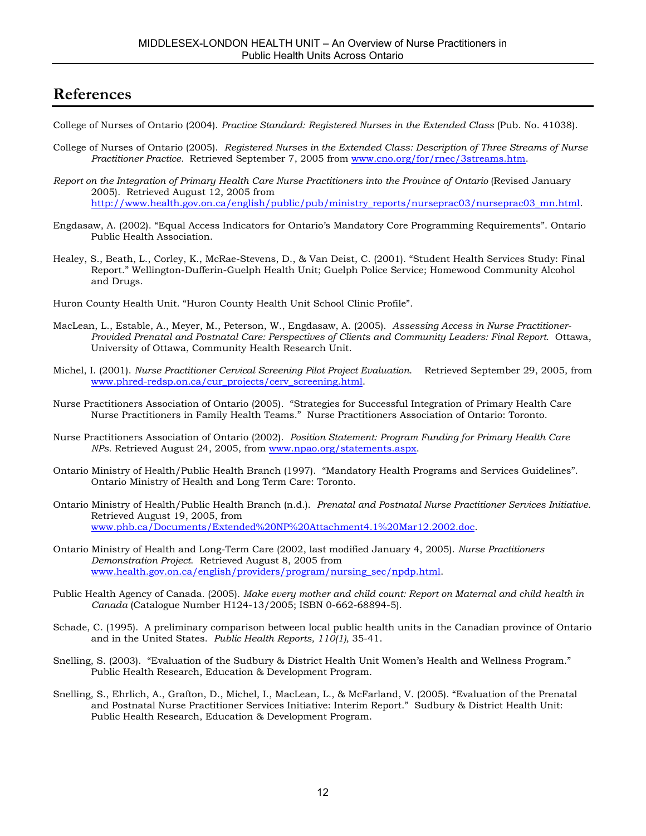## **References**

College of Nurses of Ontario (2004). *Practice Standard: Registered Nurses in the Extended Class* (Pub. No. 41038).

- College of Nurses of Ontario (2005). *Registered Nurses in the Extended Class: Description of Three Streams of Nurse Practitioner Practice.* Retrieved September 7, 2005 from www.cno.org/for/rnec/3streams.htm.
- *Report on the Integration of Primary Health Care Nurse Practitioners into the Province of Ontario (Revised January* 2005)*.* Retrieved August 12, 2005 from http://www.health.gov.on.ca/english/public/pub/ministry\_reports/nurseprac03/nurseprac03\_mn.html.
- Engdasaw, A. (2002). "Equal Access Indicators for Ontario's Mandatory Core Programming Requirements". Ontario Public Health Association.
- Healey, S., Beath, L., Corley, K., McRae-Stevens, D., & Van Deist, C. (2001). "Student Health Services Study: Final Report." Wellington-Dufferin-Guelph Health Unit; Guelph Police Service; Homewood Community Alcohol and Drugs.
- Huron County Health Unit. "Huron County Health Unit School Clinic Profile".
- MacLean, L., Estable, A., Meyer, M., Peterson, W., Engdasaw, A. (2005). *Assessing Access in Nurse Practitioner-Provided Prenatal and Postnatal Care: Perspectives of Clients and Community Leaders: Final Report*. Ottawa, University of Ottawa, Community Health Research Unit.
- Michel, I. (2001). *Nurse Practitioner Cervical Screening Pilot Project Evaluation*. Retrieved September 29, 2005, from www.phred-redsp.on.ca/cur\_projects/cerv\_screening.html.
- Nurse Practitioners Association of Ontario (2005). "Strategies for Successful Integration of Primary Health Care Nurse Practitioners in Family Health Teams." Nurse Practitioners Association of Ontario: Toronto.
- Nurse Practitioners Association of Ontario (2002). *Position Statement: Program Funding for Primary Health Care NPs.* Retrieved August 24, 2005, from www.npao.org/statements.aspx.
- Ontario Ministry of Health/Public Health Branch (1997). "Mandatory Health Programs and Services Guidelines". Ontario Ministry of Health and Long Term Care: Toronto.
- Ontario Ministry of Health/Public Health Branch (n.d.). *Prenatal and Postnatal Nurse Practitioner Services Initiative.* Retrieved August 19, 2005, from www.phb.ca/Documents/Extended%20NP%20Attachment4.1%20Mar12.2002.doc.
- Ontario Ministry of Health and Long-Term Care (2002, last modified January 4, 2005). *Nurse Practitioners Demonstration Project*. Retrieved August 8, 2005 from www.health.gov.on.ca/english/providers/program/nursing\_sec/npdp.html.
- Public Health Agency of Canada. (2005). *Make every mother and child count: Report on Maternal and child health in Canada* (Catalogue Number H124-13/2005; ISBN 0-662-68894-5).
- Schade, C. (1995). A preliminary comparison between local public health units in the Canadian province of Ontario and in the United States. *Public Health Reports, 110(1),* 35-41.
- Snelling, S. (2003). "Evaluation of the Sudbury & District Health Unit Women's Health and Wellness Program." Public Health Research, Education & Development Program.
- Snelling, S., Ehrlich, A., Grafton, D., Michel, I., MacLean, L., & McFarland, V. (2005). "Evaluation of the Prenatal and Postnatal Nurse Practitioner Services Initiative: Interim Report." Sudbury & District Health Unit: Public Health Research, Education & Development Program.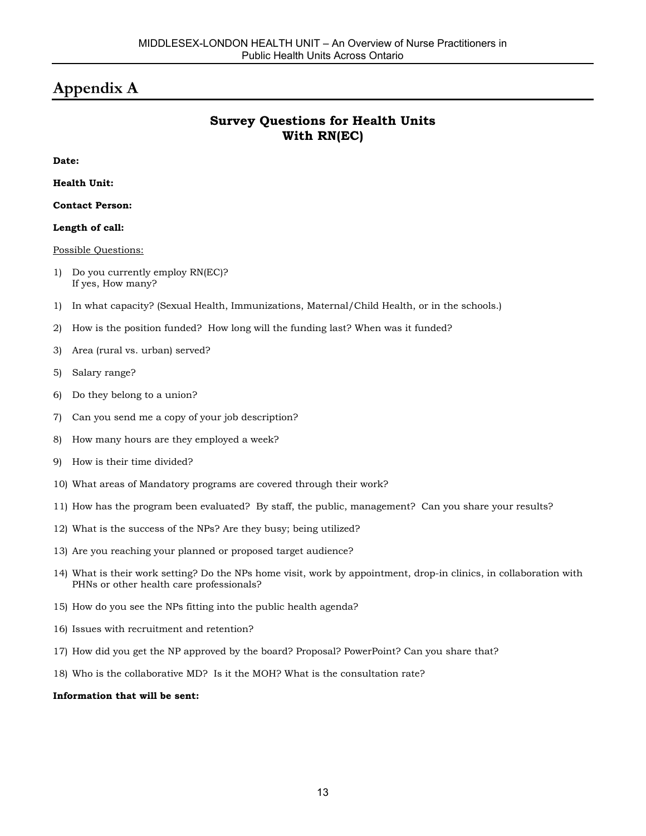## **Appendix A**

## **Survey Questions for Health Units With RN(EC)**

**Date:**

**Health Unit:**

**Contact Person:**

#### **Length of call:**

Possible Questions:

- 1) Do you currently employ RN(EC)? If yes, How many?
- 1) In what capacity? (Sexual Health, Immunizations, Maternal/Child Health, or in the schools.)
- 2) How is the position funded? How long will the funding last? When was it funded?
- 3) Area (rural vs. urban) served?
- 5) Salary range?
- 6) Do they belong to a union?
- 7) Can you send me a copy of your job description?
- 8) How many hours are they employed a week?
- 9) How is their time divided?
- 10) What areas of Mandatory programs are covered through their work?
- 11) How has the program been evaluated? By staff, the public, management? Can you share your results?
- 12) What is the success of the NPs? Are they busy; being utilized?
- 13) Are you reaching your planned or proposed target audience?
- 14) What is their work setting? Do the NPs home visit, work by appointment, drop-in clinics, in collaboration with PHNs or other health care professionals?
- 15) How do you see the NPs fitting into the public health agenda?
- 16) Issues with recruitment and retention?
- 17) How did you get the NP approved by the board? Proposal? PowerPoint? Can you share that?
- 18) Who is the collaborative MD? Is it the MOH? What is the consultation rate?

#### **Information that will be sent:**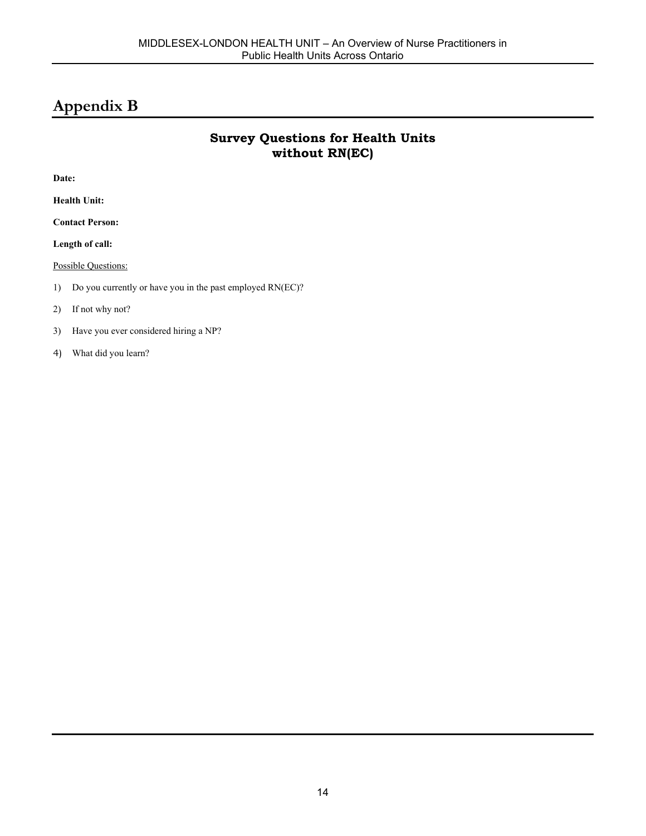## **Appendix B**

## **Survey Questions for Health Units without RN(EC)**

**Date:**

**Health Unit:**

**Contact Person:**

**Length of call:**

Possible Questions:

1) Do you currently or have you in the past employed RN(EC)?

#### 2) If not why not?

- 3) Have you ever considered hiring a NP?
- 4) What did you learn?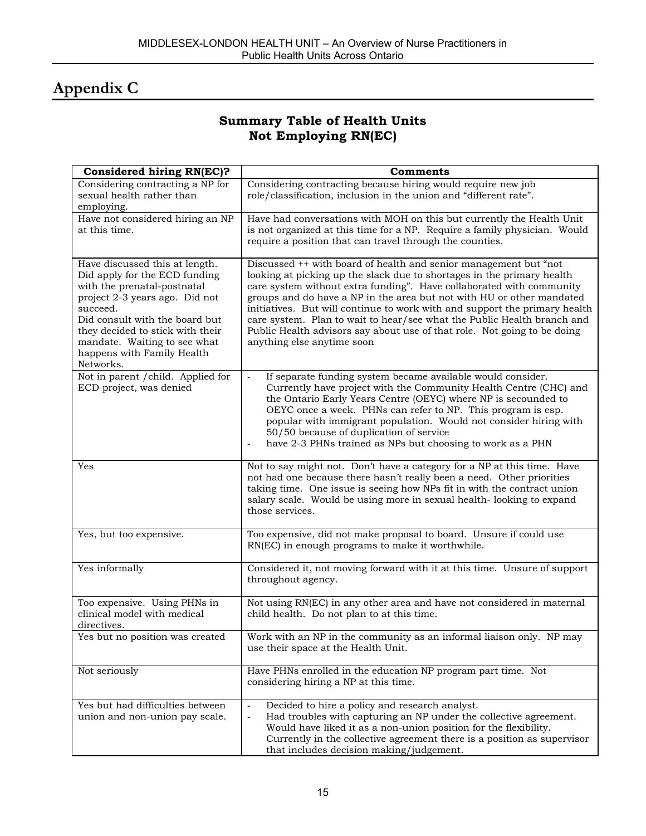## **Appendix C**

## **Summary Table of Health Units Not Employing RN(EC)**

| Considered hiring RN(EC)?                                                                                                                                                                                                                                                                     | Comments                                                                                                                                                                                                                                                                                                                                                                                                                                                                                                                                                       |
|-----------------------------------------------------------------------------------------------------------------------------------------------------------------------------------------------------------------------------------------------------------------------------------------------|----------------------------------------------------------------------------------------------------------------------------------------------------------------------------------------------------------------------------------------------------------------------------------------------------------------------------------------------------------------------------------------------------------------------------------------------------------------------------------------------------------------------------------------------------------------|
| Considering contracting a NP for<br>sexual health rather than<br>employing.                                                                                                                                                                                                                   | Considering contracting because hiring would require new job<br>role/classification, inclusion in the union and "different rate".                                                                                                                                                                                                                                                                                                                                                                                                                              |
| Have not considered hiring an NP<br>at this time.                                                                                                                                                                                                                                             | Have had conversations with MOH on this but currently the Health Unit<br>is not organized at this time for a NP. Require a family physician. Would<br>require a position that can travel through the counties.                                                                                                                                                                                                                                                                                                                                                 |
| Have discussed this at length.<br>Did apply for the ECD funding<br>with the prenatal-postnatal<br>project 2-3 years ago. Did not<br>succeed.<br>Did consult with the board but<br>they decided to stick with their<br>mandate. Waiting to see what<br>happens with Family Health<br>Networks. | Discussed ++ with board of health and senior management but "not<br>looking at picking up the slack due to shortages in the primary health<br>care system without extra funding". Have collaborated with community<br>groups and do have a NP in the area but not with HU or other mandated<br>initiatives. But will continue to work with and support the primary health<br>care system. Plan to wait to hear/see what the Public Health branch and<br>Public Health advisors say about use of that role. Not going to be doing<br>anything else anytime soon |
| Not in parent / child. Applied for<br>ECD project, was denied                                                                                                                                                                                                                                 | If separate funding system became available would consider.<br>$\blacksquare$<br>Currently have project with the Community Health Centre (CHC) and<br>the Ontario Early Years Centre (OEYC) where NP is secounded to<br>OEYC once a week. PHNs can refer to NP. This program is esp.<br>popular with immigrant population. Would not consider hiring with<br>50/50 because of duplication of service<br>have 2-3 PHNs trained as NPs but choosing to work as a PHN                                                                                             |
| Yes                                                                                                                                                                                                                                                                                           | Not to say might not. Don't have a category for a NP at this time. Have<br>not had one because there hasn't really been a need. Other priorities<br>taking time. One issue is seeing how NPs fit in with the contract union<br>salary scale. Would be using more in sexual health-looking to expand<br>those services.                                                                                                                                                                                                                                         |
| Yes, but too expensive.                                                                                                                                                                                                                                                                       | Too expensive, did not make proposal to board. Unsure if could use<br>RN(EC) in enough programs to make it worthwhile.                                                                                                                                                                                                                                                                                                                                                                                                                                         |
| Yes informally                                                                                                                                                                                                                                                                                | Considered it, not moving forward with it at this time. Unsure of support<br>throughout agency.                                                                                                                                                                                                                                                                                                                                                                                                                                                                |
| Too expensive. Using PHNs in<br>clinical model with medical<br>directives.                                                                                                                                                                                                                    | Not using RN(EC) in any other area and have not considered in maternal<br>child health. Do not plan to at this time.                                                                                                                                                                                                                                                                                                                                                                                                                                           |
| Yes but no position was created                                                                                                                                                                                                                                                               | Work with an NP in the community as an informal liaison only. NP may<br>use their space at the Health Unit.                                                                                                                                                                                                                                                                                                                                                                                                                                                    |
| Not seriously                                                                                                                                                                                                                                                                                 | Have PHNs enrolled in the education NP program part time. Not<br>considering hiring a NP at this time.                                                                                                                                                                                                                                                                                                                                                                                                                                                         |
| Yes but had difficulties between<br>union and non-union pay scale.                                                                                                                                                                                                                            | Decided to hire a policy and research analyst.<br>$\overline{\phantom{a}}$<br>Had troubles with capturing an NP under the collective agreement.<br>$\blacksquare$<br>Would have liked it as a non-union position for the flexibility.<br>Currently in the collective agreement there is a position as supervisor<br>that includes decision making/judgement.                                                                                                                                                                                                   |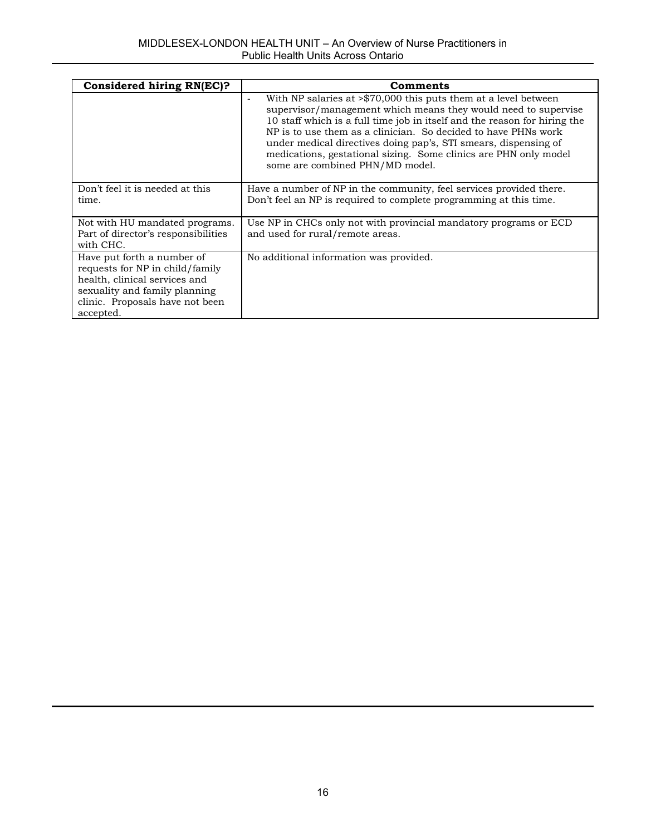| Considered hiring RN(EC)?                                                                                                                                                       | Comments                                                                                                                                                                                                                                                                                                                                                                                                                                                                               |
|---------------------------------------------------------------------------------------------------------------------------------------------------------------------------------|----------------------------------------------------------------------------------------------------------------------------------------------------------------------------------------------------------------------------------------------------------------------------------------------------------------------------------------------------------------------------------------------------------------------------------------------------------------------------------------|
|                                                                                                                                                                                 | With NP salaries at $\frac{570,000}{5}$ this puts them at a level between<br>$\blacksquare$<br>supervisor/management which means they would need to supervise<br>10 staff which is a full time job in itself and the reason for hiring the<br>NP is to use them as a clinician. So decided to have PHNs work<br>under medical directives doing pap's, STI smears, dispensing of<br>medications, gestational sizing. Some clinics are PHN only model<br>some are combined PHN/MD model. |
| Don't feel it is needed at this<br>time.                                                                                                                                        | Have a number of NP in the community, feel services provided there.<br>Don't feel an NP is required to complete programming at this time.                                                                                                                                                                                                                                                                                                                                              |
| Not with HU mandated programs.<br>Part of director's responsibilities<br>with CHC.                                                                                              | Use NP in CHCs only not with provincial mandatory programs or ECD<br>and used for rural/remote areas.                                                                                                                                                                                                                                                                                                                                                                                  |
| Have put forth a number of<br>requests for NP in child/family<br>health, clinical services and<br>sexuality and family planning<br>clinic. Proposals have not been<br>accepted. | No additional information was provided.                                                                                                                                                                                                                                                                                                                                                                                                                                                |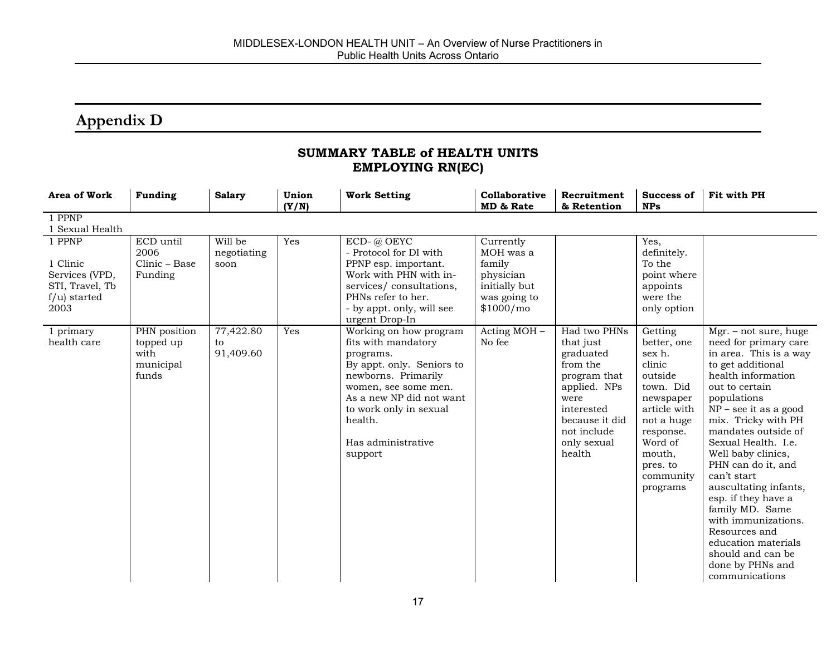## **Appendix D**

### **SUMMARY TABLE of HEALTH UNITS EMPLOYING RN(EC)**

| Area of Work                                                                       | <b>Funding</b>                                          | <b>Salary</b>                  | Union<br>(Y/N) | <b>Work Setting</b>                                                                                                                                                                                                                      | Collaborative<br>MD & Rate                                                                  | Recruitment<br>& Retention                                                                                                                                         | Success of<br><b>NPs</b>                                                                                                                                                             | Fit with PH                                                                                                                                                                                                                                                                                                                                                                                                                                                                                                    |
|------------------------------------------------------------------------------------|---------------------------------------------------------|--------------------------------|----------------|------------------------------------------------------------------------------------------------------------------------------------------------------------------------------------------------------------------------------------------|---------------------------------------------------------------------------------------------|--------------------------------------------------------------------------------------------------------------------------------------------------------------------|--------------------------------------------------------------------------------------------------------------------------------------------------------------------------------------|----------------------------------------------------------------------------------------------------------------------------------------------------------------------------------------------------------------------------------------------------------------------------------------------------------------------------------------------------------------------------------------------------------------------------------------------------------------------------------------------------------------|
| 1 PPNP<br>1 Sexual Health                                                          |                                                         |                                |                |                                                                                                                                                                                                                                          |                                                                                             |                                                                                                                                                                    |                                                                                                                                                                                      |                                                                                                                                                                                                                                                                                                                                                                                                                                                                                                                |
| 1 PPNP<br>1 Clinic<br>Services (VPD,<br>STI, Travel, Tb<br>$f/u$ ) started<br>2003 | ECD until<br>2006<br>Clinic - Base<br>Funding           | Will be<br>negotiating<br>soon | Yes            | ECD-@ OEYC<br>- Protocol for DI with<br>PPNP esp. important.<br>Work with PHN with in-<br>services/consultations,<br>PHNs refer to her.<br>- by appt. only, will see<br>urgent Drop-In                                                   | Currently<br>MOH was a<br>family<br>physician<br>initially but<br>was going to<br>\$1000/m0 |                                                                                                                                                                    | Yes,<br>definitely.<br>To the<br>point where<br>appoints<br>were the<br>only option                                                                                                  |                                                                                                                                                                                                                                                                                                                                                                                                                                                                                                                |
| 1 primary<br>health care                                                           | PHN position<br>topped up<br>with<br>municipal<br>funds | 77,422.80<br>to<br>91,409.60   | Yes            | Working on how program<br>fits with mandatory<br>programs.<br>By appt. only. Seniors to<br>newborns. Primarily<br>women, see some men.<br>As a new NP did not want<br>to work only in sexual<br>health.<br>Has administrative<br>support | Acting MOH -<br>No fee                                                                      | Had two PHNs<br>that just<br>graduated<br>from the<br>program that<br>applied. NPs<br>were<br>interested<br>because it did<br>not include<br>only sexual<br>health | Getting<br>better, one<br>sex h.<br>clinic<br>outside<br>town. Did<br>newspaper<br>article with<br>not a huge<br>response.<br>Word of<br>mouth,<br>pres. to<br>community<br>programs | $Mgr. - not sure, huge$<br>need for primary care<br>in area. This is a way<br>to get additional<br>health information<br>out to certain<br>populations<br>$NP - see$ it as a good<br>mix. Tricky with PH<br>mandates outside of<br>Sexual Health. I.e.<br>Well baby clinics,<br>PHN can do it, and<br>can't start<br>auscultating infants,<br>esp. if they have a<br>family MD. Same<br>with immunizations.<br>Resources and<br>education materials<br>should and can be<br>done by PHNs and<br>communications |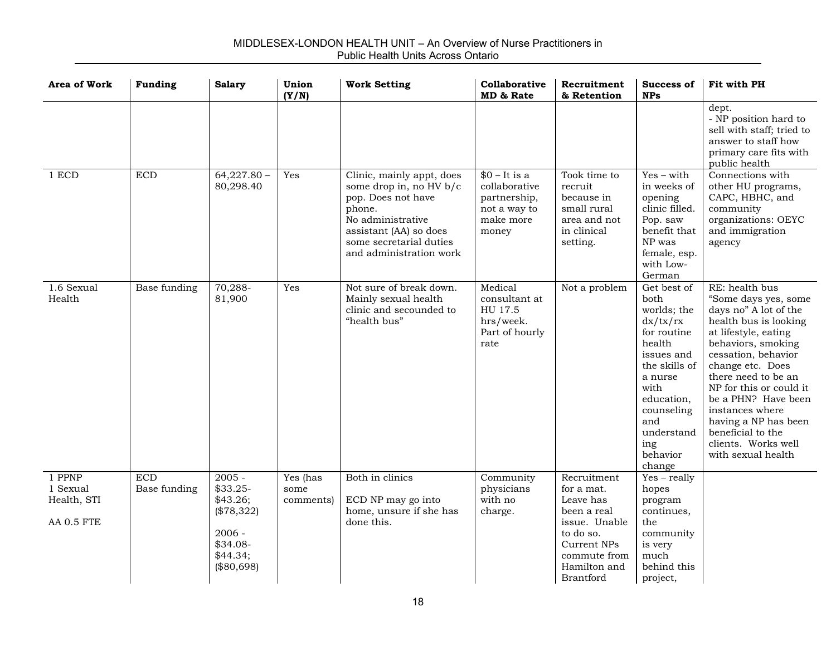| <b>Area of Work</b>                             | <b>Funding</b>             | <b>Salary</b>                                                                                       | Union<br>(Y/N)                | <b>Work Setting</b>                                                                                                                                                                       | Collaborative<br>MD & Rate                                                            | Recruitment<br>& Retention                                                                                                                             | Success of<br><b>NPs</b>                                                                                                                                                                                | Fit with PH                                                                                                                                                                                                                                                                                                                                                             |
|-------------------------------------------------|----------------------------|-----------------------------------------------------------------------------------------------------|-------------------------------|-------------------------------------------------------------------------------------------------------------------------------------------------------------------------------------------|---------------------------------------------------------------------------------------|--------------------------------------------------------------------------------------------------------------------------------------------------------|---------------------------------------------------------------------------------------------------------------------------------------------------------------------------------------------------------|-------------------------------------------------------------------------------------------------------------------------------------------------------------------------------------------------------------------------------------------------------------------------------------------------------------------------------------------------------------------------|
|                                                 |                            |                                                                                                     |                               |                                                                                                                                                                                           |                                                                                       |                                                                                                                                                        |                                                                                                                                                                                                         | dept.<br>- NP position hard to<br>sell with staff; tried to<br>answer to staff how<br>primary care fits with<br>public health                                                                                                                                                                                                                                           |
| 1 ECD                                           | <b>ECD</b>                 | $64,227.80 -$<br>80,298.40                                                                          | Yes                           | Clinic, mainly appt, does<br>some drop in, no HV b/c<br>pop. Does not have<br>phone.<br>No administrative<br>assistant (AA) so does<br>some secretarial duties<br>and administration work | $$0 - It is a$<br>collaborative<br>partnership,<br>not a way to<br>make more<br>money | Took time to<br>recruit<br>because in<br>small rural<br>area and not<br>in clinical<br>setting.                                                        | $Yes - with$<br>in weeks of<br>opening<br>clinic filled.<br>Pop. saw<br>benefit that<br>NP was<br>female, esp.<br>with Low-<br>German                                                                   | Connections with<br>other HU programs,<br>CAPC, HBHC, and<br>community<br>organizations: OEYC<br>and immigration<br>agency                                                                                                                                                                                                                                              |
| 1.6 Sexual<br>Health                            | Base funding               | 70,288-<br>81,900                                                                                   | Yes                           | Not sure of break down.<br>Mainly sexual health<br>clinic and secounded to<br>"health bus"                                                                                                | Medical<br>consultant at<br>HU 17.5<br>hrs/week.<br>Part of hourly<br>rate            | Not a problem                                                                                                                                          | Get best of<br>both<br>worlds; the<br>dx/tx/rx<br>for routine<br>health<br>issues and<br>the skills of<br>a nurse<br>with<br>education,<br>counseling<br>and<br>understand<br>ing<br>behavior<br>change | RE: health bus<br>"Some days yes, some<br>days no" A lot of the<br>health bus is looking<br>at lifestyle, eating<br>behaviors, smoking<br>cessation, behavior<br>change etc. Does<br>there need to be an<br>NP for this or could it<br>be a PHN? Have been<br>instances where<br>having a NP has been<br>beneficial to the<br>clients. Works well<br>with sexual health |
| 1 PPNP<br>1 Sexual<br>Health, STI<br>AA 0.5 FTE | <b>ECD</b><br>Base funding | $2005 -$<br>$$33.25-$<br>\$43.26;<br>$(\$78,322)$<br>$2006 -$<br>\$34.08-<br>\$44.34;<br>(\$80,698) | Yes (has<br>some<br>comments) | Both in clinics<br>ECD NP may go into<br>home, unsure if she has<br>done this.                                                                                                            | Community<br>physicians<br>with no<br>charge.                                         | Recruitment<br>for a mat.<br>Leave has<br>been a real<br>issue. Unable<br>to do so.<br>Current NPs<br>commute from<br>Hamilton and<br><b>Brantford</b> | $Yes - really$<br>hopes<br>program<br>continues,<br>the<br>community<br>is very<br>much<br>behind this<br>project,                                                                                      |                                                                                                                                                                                                                                                                                                                                                                         |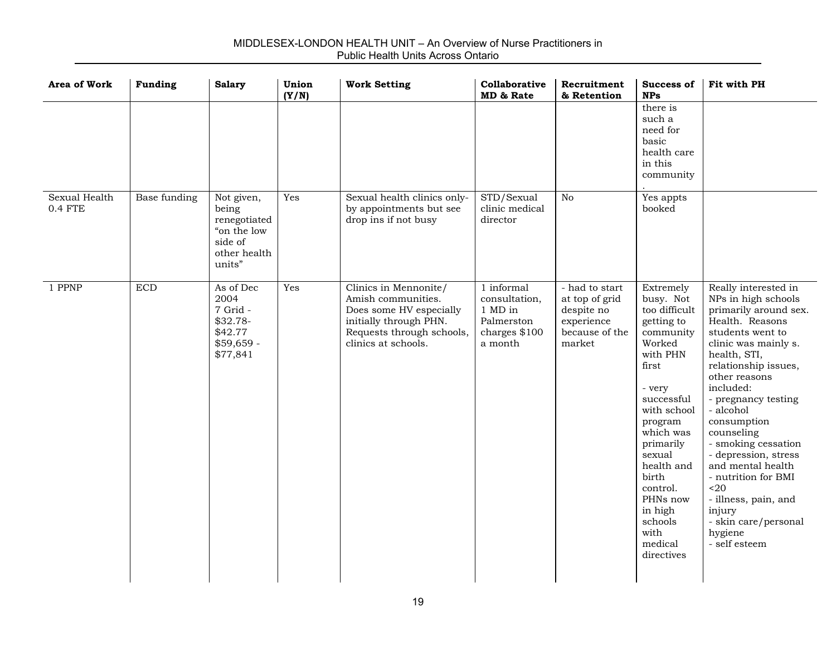| <b>Area of Work</b>      | <b>Funding</b> | <b>Salary</b>                                                                           | Union<br>(Y/N) | <b>Work Setting</b>                                                                                                                                  | Collaborative<br>MD & Rate                                                       | Recruitment<br>& Retention                                                               | <b>Success of</b><br><b>NPs</b>                                                                                                                                                                                                                                                               | Fit with PH                                                                                                                                                                                                                                                                                                                                                                                                                                                         |
|--------------------------|----------------|-----------------------------------------------------------------------------------------|----------------|------------------------------------------------------------------------------------------------------------------------------------------------------|----------------------------------------------------------------------------------|------------------------------------------------------------------------------------------|-----------------------------------------------------------------------------------------------------------------------------------------------------------------------------------------------------------------------------------------------------------------------------------------------|---------------------------------------------------------------------------------------------------------------------------------------------------------------------------------------------------------------------------------------------------------------------------------------------------------------------------------------------------------------------------------------------------------------------------------------------------------------------|
|                          |                |                                                                                         |                |                                                                                                                                                      |                                                                                  |                                                                                          | there is<br>such a<br>need for<br>basic<br>health care<br>in this<br>community                                                                                                                                                                                                                |                                                                                                                                                                                                                                                                                                                                                                                                                                                                     |
| Sexual Health<br>0.4 FTE | Base funding   | Not given,<br>being<br>renegotiated<br>"on the low<br>side of<br>other health<br>units" | Yes            | Sexual health clinics only-<br>by appointments but see<br>drop ins if not busy                                                                       | STD/Sexual<br>clinic medical<br>director                                         | N <sub>0</sub>                                                                           | Yes appts<br>booked                                                                                                                                                                                                                                                                           |                                                                                                                                                                                                                                                                                                                                                                                                                                                                     |
| 1 PPNP                   | <b>ECD</b>     | As of Dec<br>2004<br>7 Grid -<br>$$32.78-$<br>\$42.77<br>$$59,659 -$<br>\$77,841        | Yes            | Clinics in Mennonite/<br>Amish communities.<br>Does some HV especially<br>initially through PHN.<br>Requests through schools,<br>clinics at schools. | 1 informal<br>consultation,<br>1 MD in<br>Palmerston<br>charges \$100<br>a month | - had to start<br>at top of grid<br>despite no<br>experience<br>because of the<br>market | Extremely<br>busy. Not<br>too difficult<br>getting to<br>community<br>Worked<br>with PHN<br>first<br>- very<br>successful<br>with school<br>program<br>which was<br>primarily<br>sexual<br>health and<br>birth<br>control.<br>PHNs now<br>in high<br>schools<br>with<br>medical<br>directives | Really interested in<br>NPs in high schools<br>primarily around sex.<br>Health. Reasons<br>students went to<br>clinic was mainly s.<br>health, STI,<br>relationship issues,<br>other reasons<br>included:<br>- pregnancy testing<br>- alcohol<br>consumption<br>counseling<br>- smoking cessation<br>- depression, stress<br>and mental health<br>- nutrition for BMI<br>$20$<br>- illness, pain, and<br>injury<br>- skin care/personal<br>hygiene<br>- self esteem |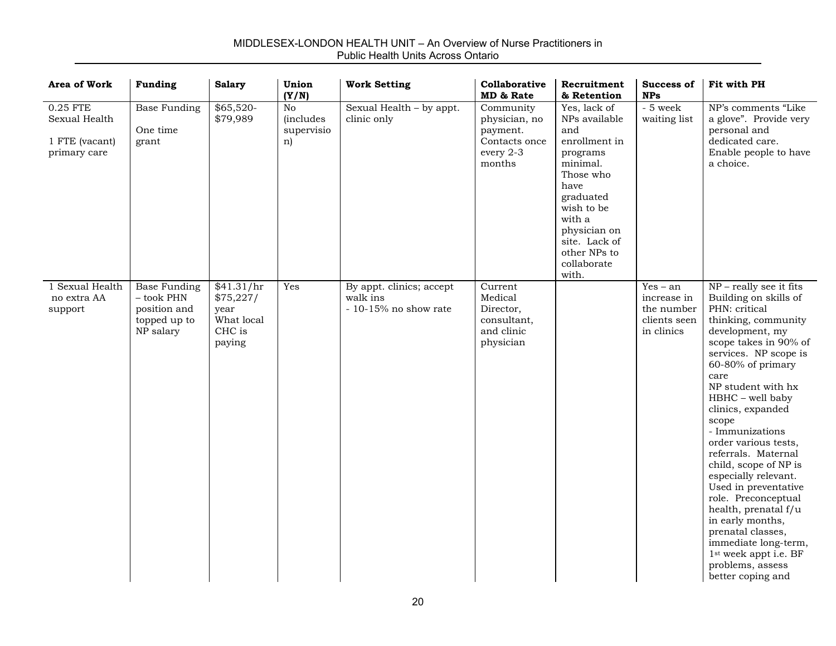#### **Area of Work Funding Salary Union (Y/N) Work Setting Collaborative MD & RateRecruitment& RetentionSuccess ofNPsFit with PH**0.25 FTESexual Health1 FTE (vacant) primary care Base Funding One timegrant \$65,520- \$79,989 No (includes supervisio n) Sexual Health – by appt. clinic only Community physician, no payment. Contacts onceevery 2-3 monthsYes, lack of NPs availableandenrollment inprograms minimal.Those whohavegraduated wish to bewith a physician on site. Lack of other NPs tocollaboratewith.- 5 weekwaiting list NP's comments "Likea glove". Provide very personal and dedicated care.Enable people to have a choice.1 Sexual Health no extra AAsupport Base Funding – took PHNposition and topped up to NP salary \$41.31/hr \$75,227/ year What localCHC ispaying Yes | By appt. clinics; accept walk ins- 10-15% no show rateCurrentMedicalDirector, consultant, and clinicphysician Yes – anincrease inthe numberclients seenin clinicsNP – really see it fits Building on skills of PHN: criticalthinking, community development, my scope takes in 90% of services. NP scope is 60-80% of primary care NP student with hxHBHC – well baby clinics, expanded scope - Immunizationsorder various tests, referrals. Maternalchild, scope of NP is especially relevant. Used in preventative role. Preconceptual health, prenatal f/u in early months, prenatal classes, immediate long-term, 1st week appt i.e. BF problems, assess better coping and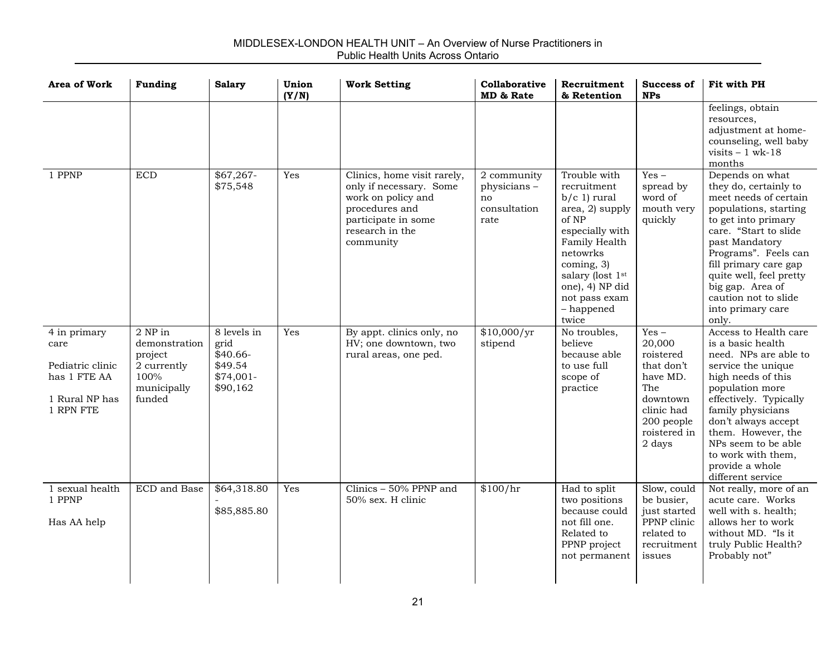| <b>Area of Work</b>                                                                     | <b>Funding</b>                                                                      | <b>Salary</b>                                                         | Union<br>(Y/N) | <b>Work Setting</b>                                                                                                                                   | Collaborative<br>MD & Rate                               | Recruitment<br>& Retention                                                                                                                                                                                             | <b>Success of</b><br><b>NPs</b>                                                                                                   | Fit with PH                                                                                                                                                                                                                                                                                                         |
|-----------------------------------------------------------------------------------------|-------------------------------------------------------------------------------------|-----------------------------------------------------------------------|----------------|-------------------------------------------------------------------------------------------------------------------------------------------------------|----------------------------------------------------------|------------------------------------------------------------------------------------------------------------------------------------------------------------------------------------------------------------------------|-----------------------------------------------------------------------------------------------------------------------------------|---------------------------------------------------------------------------------------------------------------------------------------------------------------------------------------------------------------------------------------------------------------------------------------------------------------------|
|                                                                                         |                                                                                     |                                                                       |                |                                                                                                                                                       |                                                          |                                                                                                                                                                                                                        |                                                                                                                                   | feelings, obtain<br>resources,<br>adjustment at home-<br>counseling, well baby<br>visits $-1$ wk-18<br>months                                                                                                                                                                                                       |
| 1 PPNP                                                                                  | <b>ECD</b>                                                                          | $$67,267-$<br>\$75,548                                                | Yes            | Clinics, home visit rarely,<br>only if necessary. Some<br>work on policy and<br>procedures and<br>participate in some<br>research in the<br>community | 2 community<br>physicians-<br>no<br>consultation<br>rate | Trouble with<br>recruitment<br>$b/c$ 1) rural<br>area, 2) supply<br>of NP<br>especially with<br>Family Health<br>netowrks<br>coming, 3)<br>salary (lost 1st<br>one), 4) NP did<br>not pass exam<br>- happened<br>twice | $Yes -$<br>spread by<br>word of<br>mouth very<br>quickly                                                                          | Depends on what<br>they do, certainly to<br>meet needs of certain<br>populations, starting<br>to get into primary<br>care. "Start to slide<br>past Mandatory<br>Programs". Feels can<br>fill primary care gap<br>quite well, feel pretty<br>big gap. Area of<br>caution not to slide<br>into primary care<br>only.  |
| 4 in primary<br>care<br>Pediatric clinic<br>has 1 FTE AA<br>1 Rural NP has<br>1 RPN FTE | 2 NP in<br>demonstration<br>project<br>2 currently<br>100%<br>municipally<br>funded | 8 levels in<br>grid<br>$$40.66-$<br>\$49.54<br>$$74,001-$<br>\$90,162 | Yes            | By appt. clinics only, no<br>HV; one downtown, two<br>rural areas, one ped.                                                                           | \$10,000/yr<br>stipend                                   | No troubles,<br>believe<br>because able<br>to use full<br>scope of<br>practice                                                                                                                                         | $Yes -$<br>20,000<br>roistered<br>that don't<br>have MD.<br>The<br>downtown<br>clinic had<br>200 people<br>roistered in<br>2 days | Access to Health care<br>is a basic health<br>need. NPs are able to<br>service the unique<br>high needs of this<br>population more<br>effectively. Typically<br>family physicians<br>don't always accept<br>them. However, the<br>NPs seem to be able<br>to work with them,<br>provide a whole<br>different service |
| 1 sexual health<br>1 PPNP<br>Has AA help                                                | ECD and Base                                                                        | \$64,318.80<br>\$85,885.80                                            | Yes            | Clinics - 50% PPNP and<br>50% sex. H clinic                                                                                                           | \$100/hr                                                 | Had to split<br>two positions<br>because could<br>not fill one.<br>Related to<br>PPNP project<br>not permanent                                                                                                         | Slow, could<br>be busier,<br>just started<br>PPNP clinic<br>related to<br>recruitment<br>issues                                   | Not really, more of an<br>acute care. Works<br>well with s. health;<br>allows her to work<br>without MD. "Is it<br>truly Public Health?<br>Probably not"                                                                                                                                                            |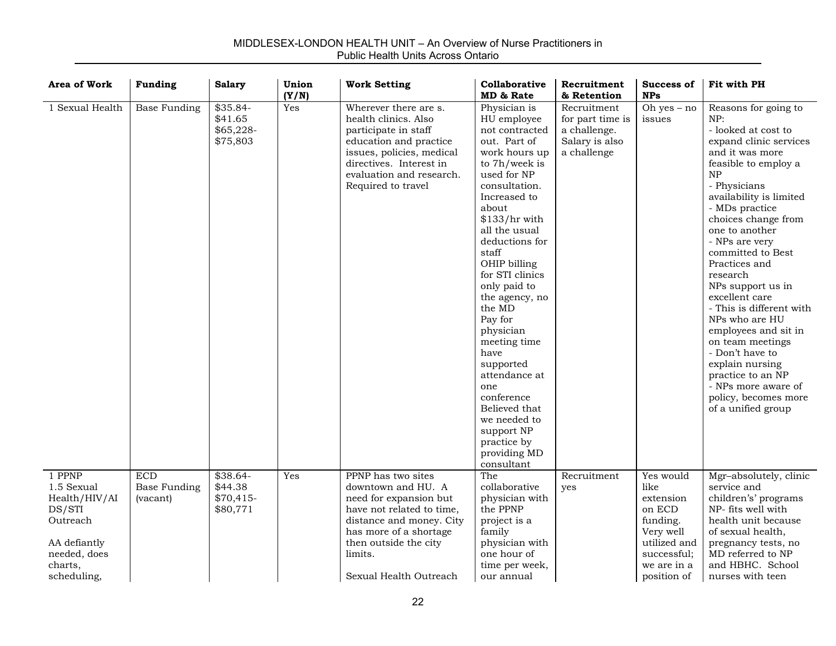| <b>Area of Work</b>                                                                                                   | <b>Funding</b>                                | <b>Salary</b>                                | Union<br>(Y/N) | <b>Work Setting</b>                                                                                                                                                                                                 | Collaborative<br>MD & Rate                                                                                                                                                                                                                                                                                                                                                                                                                                                                           | Recruitment<br>& Retention                                                       | Success of<br><b>NPs</b>                                                                                                       | Fit with PH                                                                                                                                                                                                                                                                                                                                                                                                                                                                                                                                                              |
|-----------------------------------------------------------------------------------------------------------------------|-----------------------------------------------|----------------------------------------------|----------------|---------------------------------------------------------------------------------------------------------------------------------------------------------------------------------------------------------------------|------------------------------------------------------------------------------------------------------------------------------------------------------------------------------------------------------------------------------------------------------------------------------------------------------------------------------------------------------------------------------------------------------------------------------------------------------------------------------------------------------|----------------------------------------------------------------------------------|--------------------------------------------------------------------------------------------------------------------------------|--------------------------------------------------------------------------------------------------------------------------------------------------------------------------------------------------------------------------------------------------------------------------------------------------------------------------------------------------------------------------------------------------------------------------------------------------------------------------------------------------------------------------------------------------------------------------|
| 1 Sexual Health                                                                                                       | <b>Base Funding</b>                           | \$35.84-<br>\$41.65<br>\$65,228-<br>\$75,803 | Yes            | Wherever there are s.<br>health clinics. Also<br>participate in staff<br>education and practice<br>issues, policies, medical<br>directives. Interest in<br>evaluation and research.<br>Required to travel           | Physician is<br>HU employee<br>not contracted<br>out. Part of<br>work hours up<br>to 7h/week is<br>used for NP<br>consultation.<br>Increased to<br>about<br>$$133/hr$ with<br>all the usual<br>deductions for<br>staff<br>OHIP billing<br>for STI clinics<br>only paid to<br>the agency, no<br>the MD<br>Pay for<br>physician<br>meeting time<br>have<br>supported<br>attendance at<br>one<br>conference<br>Believed that<br>we needed to<br>support NP<br>practice by<br>providing MD<br>consultant | Recruitment<br>for part time is<br>a challenge.<br>Salary is also<br>a challenge | Oh yes $-$ no<br>issues                                                                                                        | Reasons for going to<br>NP:<br>- looked at cost to<br>expand clinic services<br>and it was more<br>feasible to employ a<br>NP<br>- Physicians<br>availability is limited<br>- MDs practice<br>choices change from<br>one to another<br>- NPs are very<br>committed to Best<br>Practices and<br>research<br>NPs support us in<br>excellent care<br>- This is different with<br>NPs who are HU<br>employees and sit in<br>on team meetings<br>- Don't have to<br>explain nursing<br>practice to an NP<br>- NPs more aware of<br>policy, becomes more<br>of a unified group |
| 1 PPNP<br>1.5 Sexual<br>Health/HIV/AI<br>DS/STI<br>Outreach<br>AA defiantly<br>needed, does<br>charts,<br>scheduling, | <b>ECD</b><br><b>Base Funding</b><br>(vacant) | \$38.64-<br>\$44.38<br>\$70,415-<br>\$80,771 | <b>Yes</b>     | PPNP has two sites<br>downtown and HU. A<br>need for expansion but<br>have not related to time,<br>distance and money. City<br>has more of a shortage<br>then outside the city<br>limits.<br>Sexual Health Outreach | The<br>collaborative<br>physician with<br>the PPNP<br>project is a<br>family<br>physician with<br>one hour of<br>time per week,<br>our annual                                                                                                                                                                                                                                                                                                                                                        | Recruitment<br>yes                                                               | Yes would<br>like<br>extension<br>on ECD<br>funding.<br>Very well<br>utilized and<br>successful;<br>we are in a<br>position of | Mgr-absolutely, clinic<br>service and<br>children's' programs<br>NP- fits well with<br>health unit because<br>of sexual health,<br>pregnancy tests, no<br>MD referred to NP<br>and HBHC. School<br>nurses with teen                                                                                                                                                                                                                                                                                                                                                      |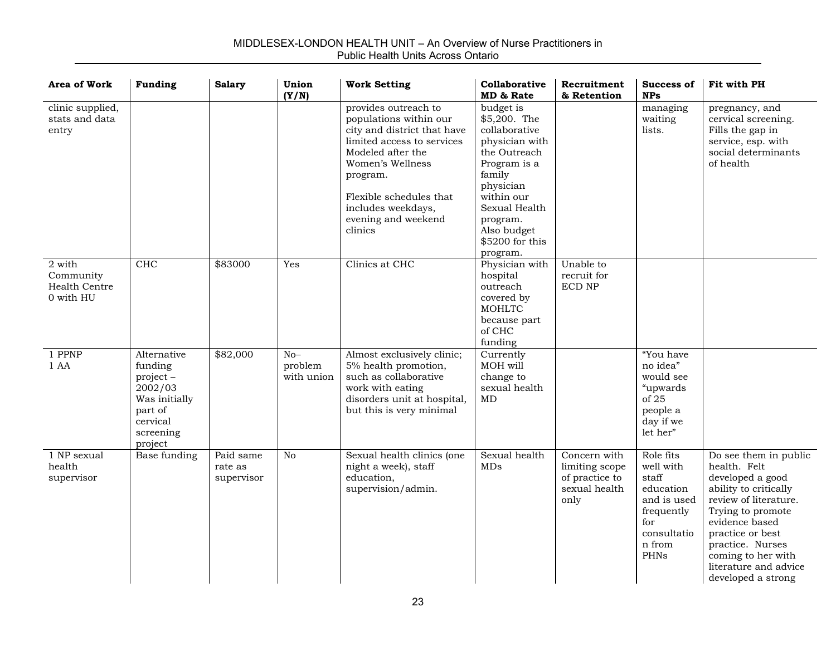| <b>Area of Work</b>                               | <b>Funding</b>                                                                                                   | <b>Salary</b>                      | Union<br>(Y/N)                 | <b>Work Setting</b>                                                                                                                                                                                                                                 | Collaborative<br>MD & Rate                                                                                                                                                                                   | Recruitment<br>& Retention                                                | <b>Success of</b><br><b>NPs</b>                                                                                   | Fit with PH                                                                                                                                                                                                                                                     |
|---------------------------------------------------|------------------------------------------------------------------------------------------------------------------|------------------------------------|--------------------------------|-----------------------------------------------------------------------------------------------------------------------------------------------------------------------------------------------------------------------------------------------------|--------------------------------------------------------------------------------------------------------------------------------------------------------------------------------------------------------------|---------------------------------------------------------------------------|-------------------------------------------------------------------------------------------------------------------|-----------------------------------------------------------------------------------------------------------------------------------------------------------------------------------------------------------------------------------------------------------------|
| clinic supplied,<br>stats and data<br>entry       |                                                                                                                  |                                    |                                | provides outreach to<br>populations within our<br>city and district that have<br>limited access to services<br>Modeled after the<br>Women's Wellness<br>program.<br>Flexible schedules that<br>includes weekdays,<br>evening and weekend<br>clinics | budget is<br>\$5,200. The<br>collaborative<br>physician with<br>the Outreach<br>Program is a<br>family<br>physician<br>within our<br>Sexual Health<br>program.<br>Also budget<br>\$5200 for this<br>program. |                                                                           | managing<br>waiting<br>lists.                                                                                     | pregnancy, and<br>cervical screening.<br>Fills the gap in<br>service, esp. with<br>social determinants<br>of health                                                                                                                                             |
| 2 with<br>Community<br>Health Centre<br>0 with HU | CHC                                                                                                              | \$83000                            | Yes                            | Clinics at CHC                                                                                                                                                                                                                                      | Physician with<br>hospital<br>outreach<br>covered by<br><b>MOHLTC</b><br>because part<br>of CHC<br>funding                                                                                                   | Unable to<br>recruit for<br><b>ECD NP</b>                                 |                                                                                                                   |                                                                                                                                                                                                                                                                 |
| 1 PPNP<br>1 AA                                    | Alternative<br>funding<br>$project -$<br>2002/03<br>Was initially<br>part of<br>cervical<br>screening<br>project | \$82,000                           | $No-$<br>problem<br>with union | Almost exclusively clinic;<br>5% health promotion,<br>such as collaborative<br>work with eating<br>disorders unit at hospital,<br>but this is very minimal                                                                                          | Currently<br>MOH will<br>change to<br>sexual health<br>MD                                                                                                                                                    |                                                                           | "You have<br>no idea"<br>would see<br>"upwards<br>of 25<br>people a<br>day if we<br>let her"                      |                                                                                                                                                                                                                                                                 |
| 1 NP sexual<br>health<br>supervisor               | Base funding                                                                                                     | Paid same<br>rate as<br>supervisor | No                             | Sexual health clinics (one<br>night a week), staff<br>education,<br>supervision/admin.                                                                                                                                                              | Sexual health<br><b>MDs</b>                                                                                                                                                                                  | Concern with<br>limiting scope<br>of practice to<br>sexual health<br>only | Role fits<br>well with<br>staff<br>education<br>and is used<br>frequently<br>for<br>consultatio<br>n from<br>PHNs | Do see them in public<br>health. Felt<br>developed a good<br>ability to critically<br>review of literature.<br>Trying to promote<br>evidence based<br>practice or best<br>practice. Nurses<br>coming to her with<br>literature and advice<br>developed a strong |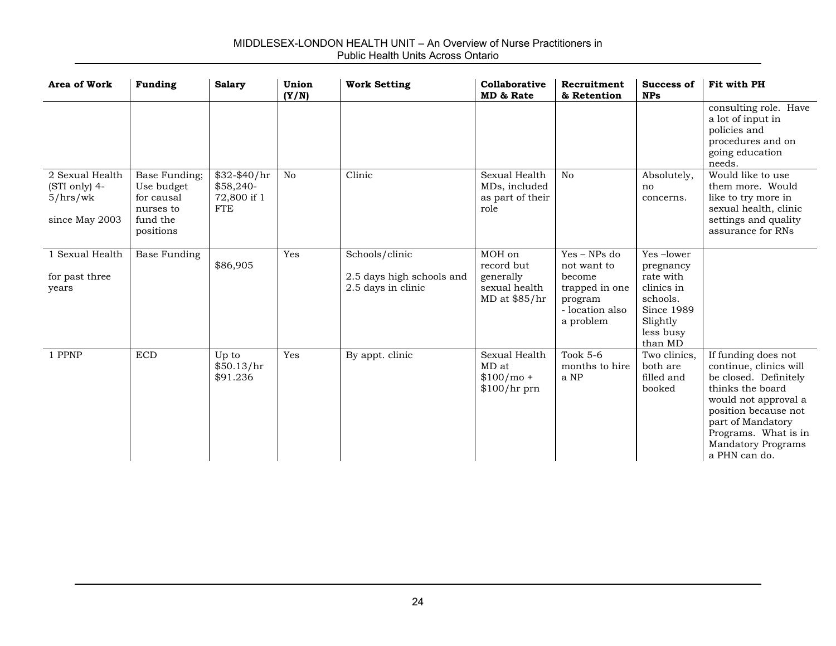| Area of Work                                                   | <b>Funding</b>                                                                  | <b>Salary</b>                                          | Union<br>(Y/N) | <b>Work Setting</b>                                               | Collaborative<br>MD & Rate                                          | Recruitment<br>& Retention                                                                           | Success of<br><b>NPs</b>                                                                                               | Fit with PH                                                                                                                                                                                                                           |
|----------------------------------------------------------------|---------------------------------------------------------------------------------|--------------------------------------------------------|----------------|-------------------------------------------------------------------|---------------------------------------------------------------------|------------------------------------------------------------------------------------------------------|------------------------------------------------------------------------------------------------------------------------|---------------------------------------------------------------------------------------------------------------------------------------------------------------------------------------------------------------------------------------|
|                                                                |                                                                                 |                                                        |                |                                                                   |                                                                     |                                                                                                      |                                                                                                                        | consulting role. Have<br>a lot of input in<br>policies and<br>procedures and on<br>going education<br>needs.                                                                                                                          |
| 2 Sexual Health<br>(STI only) 4-<br>5/hrs/wk<br>since May 2003 | Base Funding;<br>Use budget<br>for causal<br>nurses to<br>fund the<br>positions | \$32-\$40/hr<br>\$58,240-<br>72,800 if 1<br><b>FTE</b> | No             | Clinic                                                            | Sexual Health<br>MDs, included<br>as part of their<br>role          | N <sub>o</sub>                                                                                       | Absolutely,<br>no<br>concerns.                                                                                         | Would like to use<br>them more. Would<br>like to try more in<br>sexual health, clinic<br>settings and quality<br>assurance for RNs                                                                                                    |
| 1 Sexual Health<br>for past three<br>years                     | Base Funding                                                                    | \$86,905                                               | Yes            | Schools/clinic<br>2.5 days high schools and<br>2.5 days in clinic | MOH on<br>record but<br>generally<br>sexual health<br>MD at \$85/hr | $Yes - NPs$ do<br>not want to<br>become<br>trapped in one<br>program<br>- location also<br>a problem | Yes-lower<br>pregnancy<br>rate with<br>clinics in<br>schools.<br><b>Since 1989</b><br>Slightly<br>less busy<br>than MD |                                                                                                                                                                                                                                       |
| 1 PPNP                                                         | <b>ECD</b>                                                                      | Up to<br>\$50.13/hr<br>\$91.236                        | Yes            | By appt. clinic                                                   | Sexual Health<br>MD at<br>$$100/mol +$<br>$$100/hr$ prn             | Took $5-6$<br>months to hire<br>a NP                                                                 | Two clinics,<br>both are<br>filled and<br>booked                                                                       | If funding does not<br>continue, clinics will<br>be closed. Definitely<br>thinks the board<br>would not approval a<br>position because not<br>part of Mandatory<br>Programs. What is in<br><b>Mandatory Programs</b><br>a PHN can do. |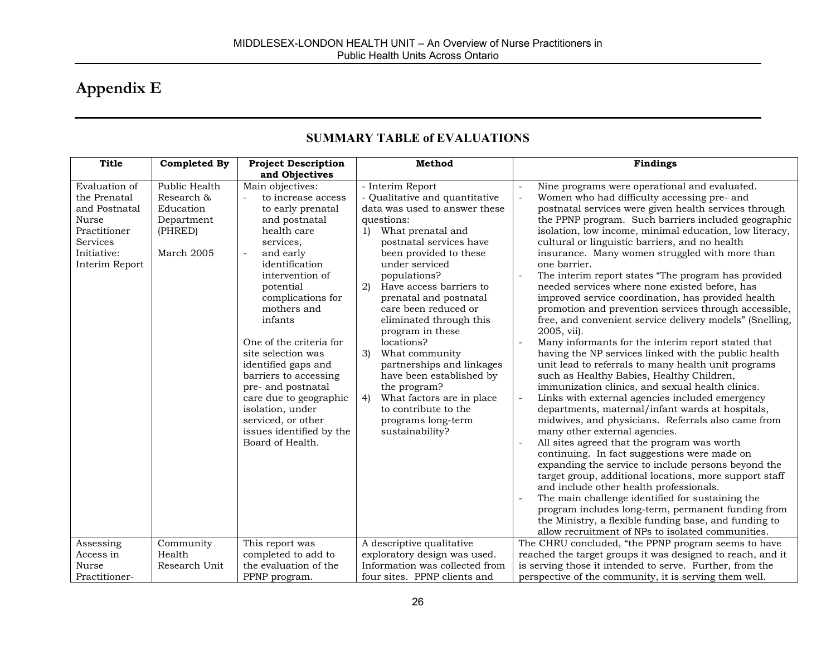# **Appendix E**

| <b>Title</b>                                                                                                                       | <b>Completed By</b>                                                             | <b>Project Description</b>                                                                                                                                                                                                                                                                                                                                                                                                                                                                | Method                                                                                                                                                                                                                                                                                                                                                                                                                                                                                                                                                                   | <b>Findings</b>                                                                                                                                                                                                                                                                                                                                                                                                                                                                                                                                                                                                                                                                                                                                                                                                                                                                                                                                                                                                                                                                                                                                                                                                                                                                                                                                                                                                                                                                                                                                                                                                                                                                                                                              |
|------------------------------------------------------------------------------------------------------------------------------------|---------------------------------------------------------------------------------|-------------------------------------------------------------------------------------------------------------------------------------------------------------------------------------------------------------------------------------------------------------------------------------------------------------------------------------------------------------------------------------------------------------------------------------------------------------------------------------------|--------------------------------------------------------------------------------------------------------------------------------------------------------------------------------------------------------------------------------------------------------------------------------------------------------------------------------------------------------------------------------------------------------------------------------------------------------------------------------------------------------------------------------------------------------------------------|----------------------------------------------------------------------------------------------------------------------------------------------------------------------------------------------------------------------------------------------------------------------------------------------------------------------------------------------------------------------------------------------------------------------------------------------------------------------------------------------------------------------------------------------------------------------------------------------------------------------------------------------------------------------------------------------------------------------------------------------------------------------------------------------------------------------------------------------------------------------------------------------------------------------------------------------------------------------------------------------------------------------------------------------------------------------------------------------------------------------------------------------------------------------------------------------------------------------------------------------------------------------------------------------------------------------------------------------------------------------------------------------------------------------------------------------------------------------------------------------------------------------------------------------------------------------------------------------------------------------------------------------------------------------------------------------------------------------------------------------|
| Evaluation of<br>the Prenatal<br>and Postnatal<br><b>Nurse</b><br>Practitioner<br><b>Services</b><br>Initiative:<br>Interim Report | Public Health<br>Research &<br>Education<br>Department<br>(PHRED)<br>March 2005 | and Objectives<br>Main objectives:<br>to increase access<br>÷.<br>to early prenatal<br>and postnatal<br>health care<br>services.<br>and early<br>identification<br>intervention of<br>potential<br>complications for<br>mothers and<br>infants<br>One of the criteria for<br>site selection was<br>identified gaps and<br>barriers to accessing<br>pre- and postnatal<br>care due to geographic<br>isolation, under<br>serviced, or other<br>issues identified by the<br>Board of Health. | - Interim Report<br>- Qualitative and quantitative<br>data was used to answer these<br>questions:<br>What prenatal and<br>1)<br>postnatal services have<br>been provided to these<br>under serviced<br>populations?<br>Have access barriers to<br>2)<br>prenatal and postnatal<br>care been reduced or<br>eliminated through this<br>program in these<br>locations?<br>What community<br>3)<br>partnerships and linkages<br>have been established by<br>the program?<br>What factors are in place<br>4)<br>to contribute to the<br>programs long-term<br>sustainability? | Nine programs were operational and evaluated.<br>$\overline{a}$<br>Women who had difficulty accessing pre- and<br>$\overline{a}$<br>postnatal services were given health services through<br>the PPNP program. Such barriers included geographic<br>isolation, low income, minimal education, low literacy,<br>cultural or linguistic barriers, and no health<br>insurance. Many women struggled with more than<br>one barrier.<br>The interim report states "The program has provided<br>$\overline{\phantom{a}}$<br>needed services where none existed before, has<br>improved service coordination, has provided health<br>promotion and prevention services through accessible,<br>free, and convenient service delivery models" (Snelling,<br>2005, vii).<br>Many informants for the interim report stated that<br>having the NP services linked with the public health<br>unit lead to referrals to many health unit programs<br>such as Healthy Babies, Healthy Children,<br>immunization clinics, and sexual health clinics.<br>Links with external agencies included emergency<br>$\bar{\phantom{a}}$<br>departments, maternal/infant wards at hospitals,<br>midwives, and physicians. Referrals also came from<br>many other external agencies.<br>All sites agreed that the program was worth<br>continuing. In fact suggestions were made on<br>expanding the service to include persons beyond the<br>target group, additional locations, more support staff<br>and include other health professionals.<br>The main challenge identified for sustaining the<br>program includes long-term, permanent funding from<br>the Ministry, a flexible funding base, and funding to<br>allow recruitment of NPs to isolated communities. |
| Assessing<br>Access in<br>Nurse<br>Practitioner-                                                                                   | Community<br>Health<br>Research Unit                                            | This report was<br>completed to add to<br>the evaluation of the<br>PPNP program.                                                                                                                                                                                                                                                                                                                                                                                                          | A descriptive qualitative<br>exploratory design was used.<br>Information was collected from<br>four sites. PPNP clients and                                                                                                                                                                                                                                                                                                                                                                                                                                              | The CHRU concluded, "the PPNP program seems to have<br>reached the target groups it was designed to reach, and it<br>is serving those it intended to serve. Further, from the<br>perspective of the community, it is serving them well.                                                                                                                                                                                                                                                                                                                                                                                                                                                                                                                                                                                                                                                                                                                                                                                                                                                                                                                                                                                                                                                                                                                                                                                                                                                                                                                                                                                                                                                                                                      |

### **SUMMARY TABLE of EVALUATIONS**